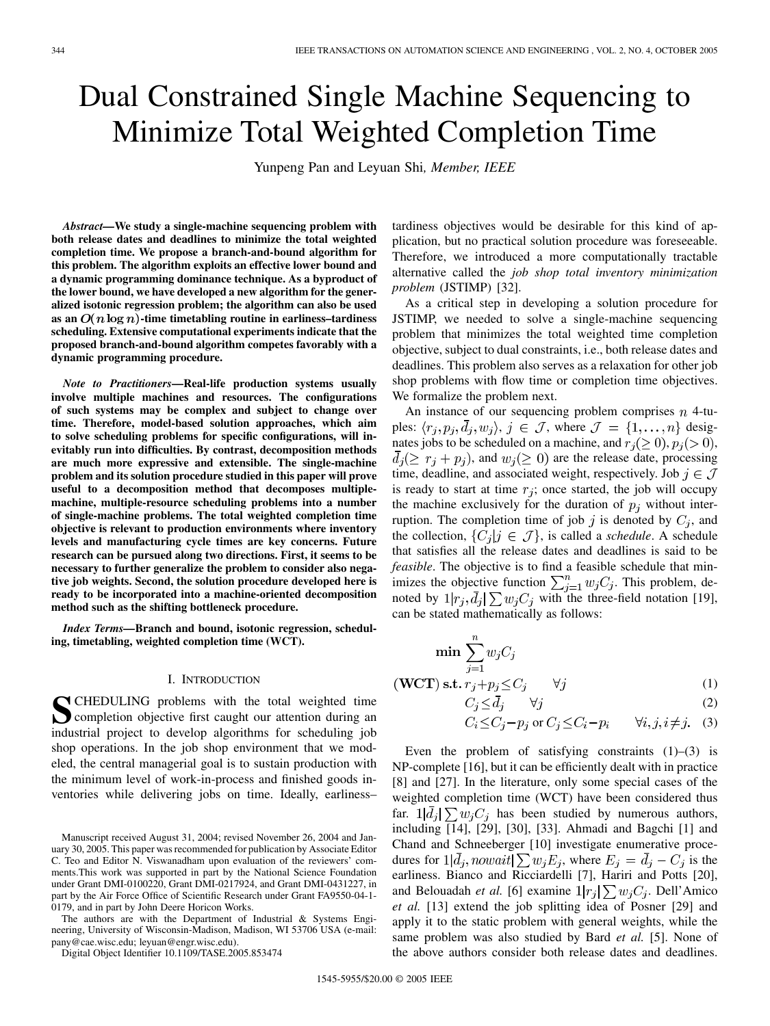# Dual Constrained Single Machine Sequencing to Minimize Total Weighted Completion Time

Yunpeng Pan and Leyuan Shi*, Member, IEEE*

*Abstract—***We study a single-machine sequencing problem with both release dates and deadlines to minimize the total weighted completion time. We propose a branch-and-bound algorithm for this problem. The algorithm exploits an effective lower bound and a dynamic programming dominance technique. As a byproduct of the lower bound, we have developed a new algorithm for the generalized isotonic regression problem; the algorithm can also be used** as an  $O(n \log n)$ -time timetabling routine in earliness–tardiness **scheduling. Extensive computational experiments indicate that the proposed branch-and-bound algorithm competes favorably with a dynamic programming procedure.**

*Note to Practitioners***—Real-life production systems usually involve multiple machines and resources. The configurations of such systems may be complex and subject to change over time. Therefore, model-based solution approaches, which aim to solve scheduling problems for specific configurations, will inevitably run into difficulties. By contrast, decomposition methods are much more expressive and extensible. The single-machine problem and its solution procedure studied in this paper will prove useful to a decomposition method that decomposes multiplemachine, multiple-resource scheduling problems into a number of single-machine problems. The total weighted completion time objective is relevant to production environments where inventory levels and manufacturing cycle times are key concerns. Future research can be pursued along two directions. First, it seems to be necessary to further generalize the problem to consider also negative job weights. Second, the solution procedure developed here is ready to be incorporated into a machine-oriented decomposition method such as the shifting bottleneck procedure.**

*Index Terms—***Branch and bound, isotonic regression, scheduling, timetabling, weighted completion time (WCT).**

#### I. INTRODUCTION

**S**CHEDULING problems with the total weighted time<br>completion objective first caught our attention during an industrial project to develop algorithms for scheduling job shop operations. In the job shop environment that we modeled, the central managerial goal is to sustain production with the minimum level of work-in-process and finished goods inventories while delivering jobs on time. Ideally, earliness–

The authors are with the Department of Industrial & Systems Engineering, University of Wisconsin-Madison, Madison, WI 53706 USA (e-mail: pany@cae.wisc.edu; leyuan@engr.wisc.edu).

Digital Object Identifier 10.1109/TASE.2005.853474

tardiness objectives would be desirable for this kind of application, but no practical solution procedure was foreseeable. Therefore, we introduced a more computationally tractable alternative called the *job shop total inventory minimization problem* (JSTIMP) [[32\]](#page-12-0).

As a critical step in developing a solution procedure for JSTIMP, we needed to solve a single-machine sequencing problem that minimizes the total weighted time completion objective, subject to dual constraints, i.e., both release dates and deadlines. This problem also serves as a relaxation for other job shop problems with flow time or completion time objectives. We formalize the problem next.

An instance of our sequencing problem comprises  $n$  4-tuples:  $\langle r_i, p_i, \overline{d}_i, w_i \rangle$ ,  $j \in \mathcal{J}$ , where  $\mathcal{J} = \{1, \ldots, n\}$  designates jobs to be scheduled on a machine, and  $r_i(\geq 0)$ ,  $p_i(>0)$ ,  $d_i(\geq r_i + p_i)$ , and  $w_i(\geq 0)$  are the release date, processing time, deadline, and associated weight, respectively. Job  $j \in \mathcal{J}$ is ready to start at time  $r_j$ ; once started, the job will occupy the machine exclusively for the duration of  $p_j$  without interruption. The completion time of job j is denoted by  $C_j$ , and the collection,  $\{C_i | j \in \mathcal{J}\}\$ , is called a *schedule*. A schedule that satisfies all the release dates and deadlines is said to be *feasible*. The objective is to find a feasible schedule that minimizes the objective function  $\sum_{j=1}^{n} w_j C_j$ . This problem, denoted by  $1|r_j, \bar{d}_j| \sum w_j C_j$  with the three-field notation [[19\]](#page-12-0), can be stated mathematically as follows:

$$
\min \sum_{j=1}^{n} w_j C_j
$$
  

$$
VCT) \text{ s.t. } r_j + p_j \le C_j \qquad \forall j
$$
 (1)

$$
C_j \le \bar{d}_j \qquad \forall j \tag{2}
$$

$$
C_i \le C_j - p_j \text{ or } C_j \le C_i - p_i \qquad \forall i, j, i \ne j. \quad (3)
$$

Even the problem of satisfying constraints  $(1)$ – $(3)$  is NP-complete [[16\]](#page-12-0), but it can be efficiently dealt with in practice [[8\]](#page-12-0) and [\[27](#page-12-0)]. In the literature, only some special cases of the weighted completion time (WCT) have been considered thus far.  $1|d_j| \sum w_j C_j$  has been studied by numerous authors, including [[14\]](#page-12-0), [[29\]](#page-12-0), [[30\]](#page-12-0), [\[33\]](#page-12-0). Ahmadi and Bagchi [[1\]](#page-12-0) and Chand and Schneeberger [[10\]](#page-12-0) investigate enumerative procedures for  $1|\bar{d}_j$ , nowait $\sum w_j E_j$ , where  $E_j = \bar{d}_j - C_j$  is the earliness. Bianco and Ricciardelli [\[7](#page-12-0)], Hariri and Potts [[20\]](#page-12-0), and Belouadah *et al.* [[6\]](#page-12-0) examine  $1|r_i| \sum w_i C_i$ . Dell'Amico *et al.* [\[13](#page-12-0)] extend the job splitting idea of Posner [\[29](#page-12-0)] and apply it to the static problem with general weights, while the same problem was also studied by Bard *et al.* [[5\]](#page-12-0). None of the above authors consider both release dates and deadlines.

 $(\mathbf{V})$ 

Manuscript received August 31, 2004; revised November 26, 2004 and January 30, 2005. This paper was recommended for publication by Associate Editor C. Teo and Editor N. Viswanadham upon evaluation of the reviewers' comments.This work was supported in part by the National Science Foundation under Grant DMI-0100220, Grant DMI-0217924, and Grant DMI-0431227, in part by the Air Force Office of Scientific Research under Grant FA9550-04-1- 0179, and in part by John Deere Horicon Works.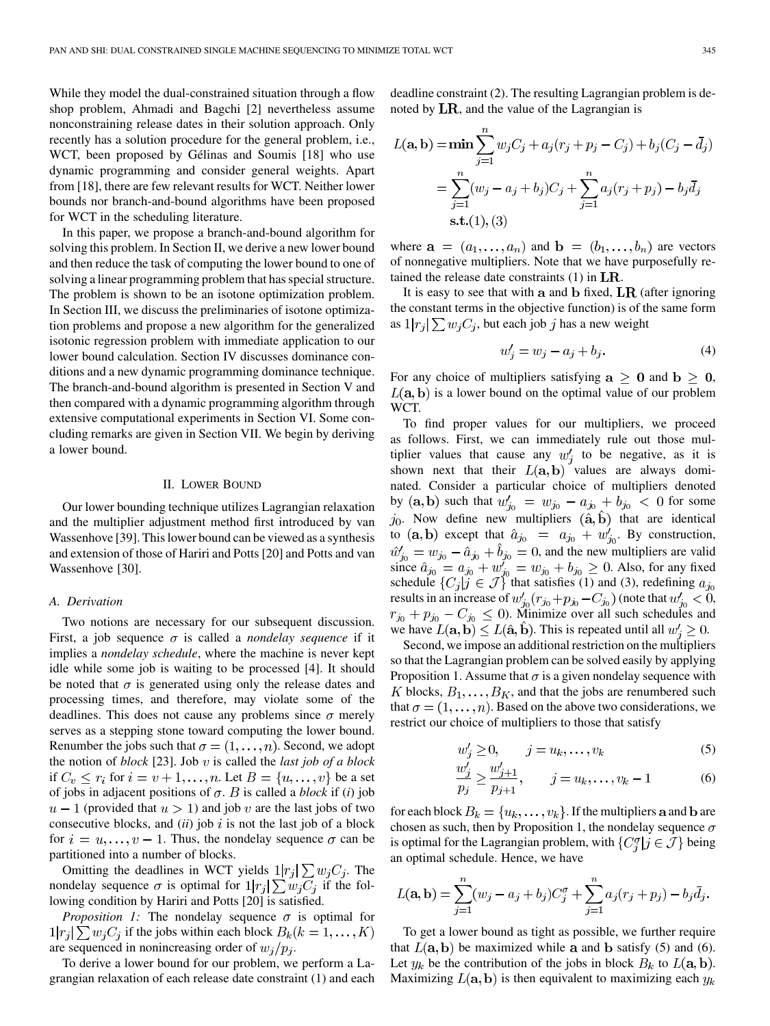While they model the dual-constrained situation through a flow shop problem, Ahmadi and Bagchi [[2](#page-12-0)] nevertheless assume nonconstraining release dates in their solution approach. Only recently has a solution procedure for the general problem, i.e., WCT, been proposed by Gélinas and Soumis [[18\]](#page-12-0) who use dynamic programming and consider general weights. Apart from [[18\]](#page-12-0), there are few relevant results for WCT. Neither lower bounds nor branch-and-bound algorithms have been proposed for WCT in the scheduling literature.

In this paper, we propose a branch-and-bound algorithm for solving this problem. In Section II, we derive a new lower bound and then reduce the task of computing the lower bound to one of solving a linear programming problem that has special structure. The problem is shown to be an isotone optimization problem. In Section III, we discuss the preliminaries of isotone optimization problems and propose a new algorithm for the generalized isotonic regression problem with immediate application to our lower bound calculation. Section IV discusses dominance conditions and a new dynamic programming dominance technique. The branch-and-bound algorithm is presented in Section V and then compared with a dynamic programming algorithm through extensive computational experiments in Section VI. Some concluding remarks are given in Section VII. We begin by deriving a lower bound.

## II. LOWER BOUND

Our lower bounding technique utilizes Lagrangian relaxation and the multiplier adjustment method first introduced by van Wassenhove [\[39](#page-12-0)]. This lower bound can be viewed as a synthesis and extension of those of Hariri and Potts [\[20](#page-12-0)] and Potts and van Wassenhove [[30\]](#page-12-0).

#### *A. Derivation*

Two notions are necessary for our subsequent discussion. First, a job sequence  $\sigma$  is called a *nondelay sequence* if it implies a *nondelay schedule*, where the machine is never kept idle while some job is waiting to be processed [\[4](#page-12-0)]. It should be noted that  $\sigma$  is generated using only the release dates and processing times, and therefore, may violate some of the deadlines. This does not cause any problems since  $\sigma$  merely serves as a stepping stone toward computing the lower bound. Renumber the jobs such that  $\sigma = (1, \ldots, n)$ . Second, we adopt the notion of *block* [[23\]](#page-12-0). Job  $v$  is called the *last job of a block* if  $C_v \le r_i$  for  $i = v + 1, \ldots, n$ . Let  $B = \{u, \ldots, v\}$  be a set of jobs in adjacent positions of  $\sigma$ .  $B$  is called a *block* if (*i*) job  $u-1$  (provided that  $u > 1$ ) and job v are the last jobs of two consecutive blocks, and  $(ii)$  job  $i$  is not the last job of a block for  $i = u, \ldots, v - 1$ . Thus, the nondelay sequence  $\sigma$  can be partitioned into a number of blocks.

Omitting the deadlines in WCT yields  $1|r_j| \sum w_j C_j$ . The nondelay sequence  $\sigma$  is optimal for  $1|r_j| \sum w_j C_j$  if the following condition by Hariri and Potts [\[20](#page-12-0)] is satisfied.

*Proposition 1:* The nondelay sequence  $\sigma$  is optimal for  $1|r_i| \sum w_i C_i$  if the jobs within each block  $B_k(k = 1, ..., K)$ are sequenced in nonincreasing order of  $w_i/p_i$ .

To derive a lower bound for our problem, we perform a Lagrangian relaxation of each release date constraint (1) and each deadline constraint (2). The resulting Lagrangian problem is denoted by  $LR$ , and the value of the Lagrangian is

$$
L(\mathbf{a}, \mathbf{b}) = \min \sum_{j=1}^{n} w_j C_j + a_j (r_j + p_j - C_j) + b_j (C_j - \bar{d}_j)
$$
  
= 
$$
\sum_{j=1}^{n} (w_j - a_j + b_j) C_j + \sum_{j=1}^{n} a_j (r_j + p_j) - b_j \bar{d}_j
$$
  
s.t.(1), (3)

where  $\mathbf{a} = (a_1, \dots, a_n)$  and  $\mathbf{b} = (b_1, \dots, b_n)$  are vectors of nonnegative multipliers. Note that we have purposefully retained the release date constraints  $(1)$  in  $LR$ .

It is easy to see that with a and  $\bf{b}$  fixed,  $\bf{LR}$  (after ignoring the constant terms in the objective function) is of the same form as  $1|r_i| \sum w_i C_i$ , but each job j has a new weight

$$
w_i' = w_i - a_i + b_i. \tag{4}
$$

For any choice of multipliers satisfying  $a \ge 0$  and  $b \ge 0$ ,  $L(a, b)$  is a lower bound on the optimal value of our problem WCT.

To find proper values for our multipliers, we proceed as follows. First, we can immediately rule out those multiplier values that cause any  $w_i'$  to be negative, as it is shown next that their  $L(\mathbf{a}, \mathbf{b})$  values are always dominated. Consider a particular choice of multipliers denoted by  $(a, b)$  such that  $w'_{j_0} = w_{j_0} - a_{j_0} + b_{j_0} < 0$  for some  $j_0$ . Now define new multipliers  $(\hat{a}, \hat{b})$  that are identical to  $(a, b)$  except that  $\hat{a}_{j_0} = a_{j_0} + w'_{j_0}$ . By construction, , and the new multipliers are valid since  $\hat{a}_{j_0} = a_{j_0} + w'_{j_0} = w_{j_0} + b_{j_0} \ge 0$ . Also, for any fixed schedule  $\{C_j | j \in \mathcal{J}\}\$  that satisfies (1) and (3), redefining results in an increase of  $w'_{i_0}(r_{i_0}+p_{i_0}-C_{i_0})$  (note that  $w'_{i_0}<0$ , ). Minimize over all such schedules and we have  $L(\mathbf{a}, \mathbf{b}) \le L(\hat{\mathbf{a}}, \hat{\mathbf{b}})$ . This is repeated until all  $w'_i \ge 0$ .

Second, we impose an additional restriction on the multipliers so that the Lagrangian problem can be solved easily by applying Proposition 1. Assume that  $\sigma$  is a given nondelay sequence with K blocks,  $B_1, \ldots, B_K$ , and that the jobs are renumbered such that  $\sigma = (1, \ldots, n)$ . Based on the above two considerations, we restrict our choice of multipliers to those that satisfy

$$
w_j' \ge 0, \qquad j = u_k, \dots, v_k
$$
 (5)

$$
\frac{w_j}{p_j} \ge \frac{w_{j+1}}{p_{j+1}}, \qquad j = u_k, \dots, v_k - 1 \tag{6}
$$

for each block  $B_k = \{u_k, \ldots, v_k\}$ . If the multipliers **a** and **b** are chosen as such, then by Proposition 1, the nondelay sequence  $\sigma$ is optimal for the Lagrangian problem, with  $\{C_i^{\sigma} | j \in \mathcal{J}\}\$ being an optimal schedule. Hence, we have

$$
L(\mathbf{a}, \mathbf{b}) = \sum_{j=1}^{n} (w_j - a_j + b_j) C_j^{\sigma} + \sum_{j=1}^{n} a_j (r_j + p_j) - b_j \bar{d}_j.
$$

To get a lower bound as tight as possible, we further require that  $L(\mathbf{a}, \mathbf{b})$  be maximized while  $\mathbf{a}$  and  $\mathbf{b}$  satisfy (5) and (6). Let  $y_k$  be the contribution of the jobs in block  $B_k$  to  $L(\mathbf{a}, \mathbf{b})$ . Maximizing  $L(\mathbf{a}, \mathbf{b})$  is then equivalent to maximizing each  $y_k$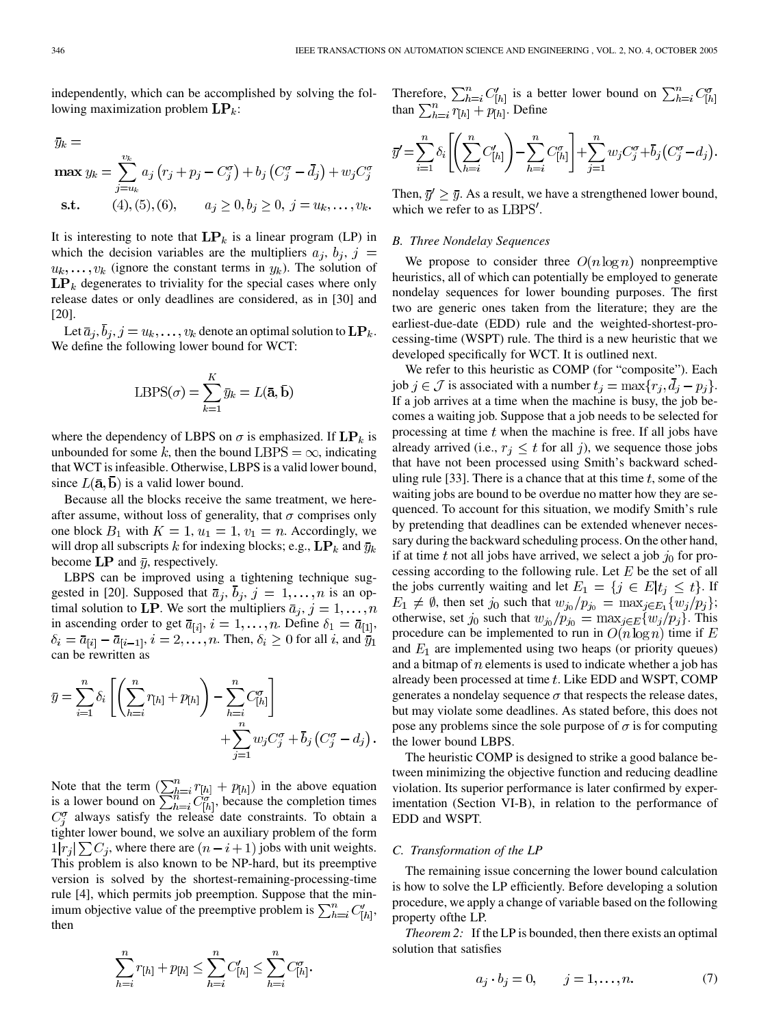independently, which can be accomplished by solving the following maximization problem  $\mathbf{LP}_k$ :

$$
\bar{y}_k = \max_{j=u_k} y_k = \sum_{j=u_k}^{v_k} a_j (r_j + p_j - C_j^{\sigma}) + b_j (C_j^{\sigma} - \bar{d}_j) + w_j C_j^{\sigma}
$$
  
s.t. (4), (5), (6),  $a_j \ge 0, b_j \ge 0, j = u_k, ..., v_k$ .

It is interesting to note that  $LP_k$  is a linear program (LP) in which the decision variables are the multipliers  $a_j$ ,  $b_j$ ,  $j =$  $(u_k, \ldots, v_k)$  (ignore the constant terms in  $y_k$ ). The solution of  $\mathbf{LP}_k$  degenerates to triviality for the special cases where only release dates or only deadlines are considered, as in [[30\]](#page-12-0) and [[20\]](#page-12-0).

Let  $\bar{a}_j$ ,  $\bar{b}_j$ ,  $j = u_k, \ldots, v_k$  denote an optimal solution to  $\mathbf{LP}_k$ . We define the following lower bound for WCT:

$$
LBPS(\sigma) = \sum_{k=1}^{K} \bar{y}_k = L(\bar{\mathbf{a}}, \bar{\mathbf{b}})
$$

where the dependency of LBPS on  $\sigma$  is emphasized. If  $\mathbf{LP}_k$  is unbounded for some k, then the bound LBPS =  $\infty$ , indicating that WCT is infeasible. Otherwise, LBPS is a valid lower bound, since  $L(\bar{a}, \bar{b})$  is a valid lower bound.

Because all the blocks receive the same treatment, we hereafter assume, without loss of generality, that  $\sigma$  comprises only one block  $B_1$  with  $K = 1$ ,  $u_1 = 1$ ,  $v_1 = n$ . Accordingly, we will drop all subscripts k for indexing blocks; e.g.,  $\mathbf{LP}_k$  and  $\bar{y}_k$ become LP and  $\bar{y}$ , respectively.

LBPS can be improved using a tightening technique sug-gested in [\[20](#page-12-0)]. Supposed that  $\bar{a}_j$ ,  $\bar{b}_j$ ,  $j = 1, \ldots, n$  is an optimal solution to LP. We sort the multipliers  $\bar{a}_j$ ,  $j = 1, \ldots, n$ in ascending order to get  $\bar{a}_{[i]}, i = 1, \ldots, n$ . Define  $\delta_1 = \bar{a}_{[1]},$  $\delta_i = \bar{a}_{[i]} - \bar{a}_{[i-1]}, i = 2, \dots, n$ . Then,  $\delta_i \geq 0$  for all i, and  $\bar{y}_1$ can be rewritten as

$$
\overline{y} = \sum_{i=1}^{n} \delta_i \left[ \left( \sum_{h=i}^{n} r_{[h]} + p_{[h]} \right) - \sum_{h=i}^{n} C_{[h]}^{\sigma} \right] + \sum_{j=1}^{n} w_j C_j^{\sigma} + \overline{b}_j \left( C_j^{\sigma} - d_j \right).
$$

Note that the term  $(\sum_{h=i}^{n} r_{[h]} + p_{[h]})$  in the above equation is a lower bound on  $\sum_{h=i}^{n} C_{[h]}^{\sigma}$ , because the completion times  $C_i^{\sigma}$  always satisfy the release date constraints. To obtain a tighter lower bound, we solve an auxiliary problem of the form  $1|r_i|\sum C_i$ , where there are  $(n-i+1)$  jobs with unit weights. This problem is also known to be NP-hard, but its preemptive version is solved by the shortest-remaining-processing-time rule [\[4](#page-12-0)], which permits job preemption. Suppose that the minimum objective value of the preemptive problem is  $\sum_{h=i}^{n} C'_{[h]},$ then

$$
\sum_{h=i}^{n} r_{[h]} + p_{[h]} \le \sum_{h=i}^{n} C'_{[h]} \le \sum_{h=i}^{n} C''_{[h]}
$$

Therefore,  $\sum_{h=i}^{n} C'_{[h]}$  is a better lower bound on  $\sum_{h=i}^{n} C'_{[h]}$ than  $\sum_{h=i}^{n} r_{[h]} + p_{[h]}$ . Define

$$
\bar{y}' = \sum_{i=1}^{n} \delta_i \left[ \left( \sum_{h=i}^{n} C'_{[h]} \right) - \sum_{h=i}^{n} C''_{[h]} \right] + \sum_{j=1}^{n} w_j C''_j + \bar{b}_j (C''_j - d_j).
$$

Then,  $\bar{y}' \geq \bar{y}$ . As a result, we have a strengthened lower bound, which we refer to as  $LBPS'$ .

# *B. Three Nondelay Sequences*

We propose to consider three  $O(n \log n)$  nonpreemptive heuristics, all of which can potentially be employed to generate nondelay sequences for lower bounding purposes. The first two are generic ones taken from the literature; they are the earliest-due-date (EDD) rule and the weighted-shortest-processing-time (WSPT) rule. The third is a new heuristic that we developed specifically for WCT. It is outlined next.

We refer to this heuristic as COMP (for "composite"). Each job  $j \in \mathcal{J}$  is associated with a number  $t_i = \max\{r_i, \overline{d}_i - p_i\}.$ If a job arrives at a time when the machine is busy, the job becomes a waiting job. Suppose that a job needs to be selected for processing at time  $t$  when the machine is free. If all jobs have already arrived (i.e.,  $r_j \leq t$  for all j), we sequence those jobs that have not been processed using Smith's backward sched-uling rule [[33](#page-12-0)]. There is a chance that at this time  $t$ , some of the waiting jobs are bound to be overdue no matter how they are sequenced. To account for this situation, we modify Smith's rule by pretending that deadlines can be extended whenever necessary during the backward scheduling process. On the other hand, if at time t not all jobs have arrived, we select a job  $j_0$  for processing according to the following rule. Let  $E$  be the set of all the jobs currently waiting and let  $E_1 = \{j \in E | t_j \leq t\}$ . If  $E_1 \neq \emptyset$ , then set  $j_0$  such that  $w_{j_0}/p_{j_0} = \max_{j \in E_1} \{w_j/p_j\};$ otherwise, set  $j_0$  such that  $w_{j_0}/p_{j_0} = \max_{j \in E} \{w_j/p_j\}$ . This procedure can be implemented to run in  $O(n \log n)$  time if E and  $E_1$  are implemented using two heaps (or priority queues) and a bitmap of  $n$  elements is used to indicate whether a job has already been processed at time  $t$ . Like EDD and WSPT, COMP generates a nondelay sequence  $\sigma$  that respects the release dates, but may violate some deadlines. As stated before, this does not pose any problems since the sole purpose of  $\sigma$  is for computing the lower bound LBPS.

The heuristic COMP is designed to strike a good balance between minimizing the objective function and reducing deadline violation. Its superior performance is later confirmed by experimentation (Section VI-B), in relation to the performance of EDD and WSPT.

#### *C. Transformation of the LP*

The remaining issue concerning the lower bound calculation is how to solve the LP efficiently. Before developing a solution procedure, we apply a change of variable based on the following property ofthe LP.

*Theorem 2:* If the LP is bounded, then there exists an optimal solution that satisfies

$$
a_j \cdot b_j = 0, \qquad j = 1, \dots, n. \tag{7}
$$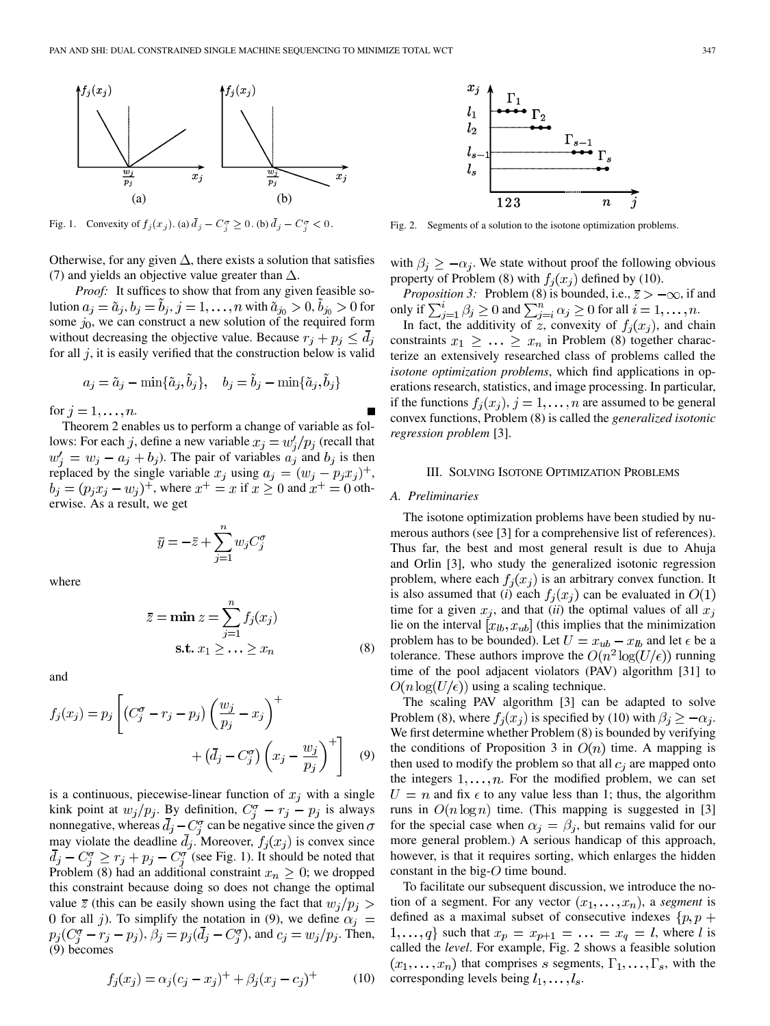

Fig. 1. Convexity of  $f_j(x_j)$ . (a)  $\bar{d}_j - C_j^{\sigma} \ge 0$ . (b)  $\bar{d}_j - C_j^{\sigma} < 0$ .

Otherwise, for any given  $\Delta$ , there exists a solution that satisfies (7) and yields an objective value greater than  $\Delta$ .

*Proof:* It suffices to show that from any given feasible solution  $a_j = \tilde{a}_j, b_j = b_j, j = 1, ..., n$  with  $\tilde{a}_{j_0} > 0, b_{j_0} > 0$  for some  $j_0$ , we can construct a new solution of the required form without decreasing the objective value. Because  $r_j + p_j \leq d_j$ for all  $j$ , it is easily verified that the construction below is valid

$$
a_j = \tilde{a}_j - \min\{\tilde{a}_j, \tilde{b}_j\}, \quad b_j = \tilde{b}_j - \min\{\tilde{a}_j, \tilde{b}_j\}
$$

for  $j = 1, \ldots, n$ .

Theorem 2 enables us to perform a change of variable as follows: For each j, define a new variable  $x_i = w'_i / p_i$  (recall that  $w'_j = w_j - a_j + b_j$ ). The pair of variables  $a_j$  and  $b_j$  is then replaced by the single variable  $x_j$  using  $a_j = (w_j - p_j x_j)^+$ ,  $b_j = (p_j x_j - w_j)^+$ , where  $x^+ = x$  if  $x \ge 0$  and  $x^+ = 0$  otherwise. As a result, we get

$$
\overline{y} = -\overline{z} + \sum_{j=1}^n w_j C_j^{\sigma}
$$

where

$$
\bar{z} = \min z = \sum_{j=1}^{n} f_j(x_j)
$$
  
s.t.  $x_1 \geq \dots \geq x_n$  (8)

and

$$
f_j(x_j) = p_j \left[ \left( C_j^{\sigma} - r_j - p_j \right) \left( \frac{w_j}{p_j} - x_j \right)^+ + \left( \bar{d}_j - C_j^{\sigma} \right) \left( x_j - \frac{w_j}{p_j} \right)^+ \right] \tag{9}
$$

is a continuous, piecewise-linear function of  $x_j$  with a single kink point at  $w_j/p_j$ . By definition,  $C_j^{\sigma} - r_j - p_j$  is always nonnegative, whereas  $d_i - C_i^{\sigma}$  can be negative since the given may violate the deadline  $d_i$ . Moreover,  $f_i(x_i)$  is convex since  $d_j - C_j^{\sigma} \ge r_j + p_j - C_j^{\sigma}$  (see Fig. 1). It should be noted that Problem (8) had an additional constraint  $x_n \geq 0$ ; we dropped this constraint because doing so does not change the optimal value  $\bar{z}$  (this can be easily shown using the fact that  $w_j/p_j >$ 0 for all j). To simplify the notation in (9), we define  $\alpha_j =$  $p_j(C_j^{\sigma} - r_j - p_j), \beta_j = p_j(\bar{d}_j - C_j^{\sigma})$ , and  $c_j = w_j/p_j$ . Then, (9) becomes

$$
f_j(x_j) = \alpha_j (c_j - x_j)^+ + \beta_j (x_j - c_j)^+ \tag{10}
$$



Fig. 2. Segments of a solution to the isotone optimization problems.

with  $\beta_i \geq -\alpha_i$ . We state without proof the following obvious property of Problem (8) with  $f_i(x_i)$  defined by (10).

*Proposition 3:* Problem (8) is bounded, i.e.,  $\overline{z} > -\infty$ , if and only if  $\sum_{j=1}^i \beta_j \ge 0$  and  $\sum_{j=i}^n \alpha_j \ge 0$  for all  $i = 1, \dots, n$ .

In fact, the additivity of z, convexity of  $f_i(x_i)$ , and chain constraints  $x_1 \geq \ldots \geq x_n$  in Problem (8) together characterize an extensively researched class of problems called the *isotone optimization problems*, which find applications in operations research, statistics, and image processing. In particular, if the functions  $f_i(x_i)$ ,  $j = 1, \ldots, n$  are assumed to be general convex functions, Problem (8) is called the *generalized isotonic regression problem* [[3\]](#page-12-0).

#### III. SOLVING ISOTONE OPTIMIZATION PROBLEMS

#### *A. Preliminaries*

The isotone optimization problems have been studied by numerous authors (see [\[3](#page-12-0)] for a comprehensive list of references). Thus far, the best and most general result is due to Ahuja and Orlin [[3\]](#page-12-0), who study the generalized isotonic regression problem, where each  $f_i(x_i)$  is an arbitrary convex function. It is also assumed that (*i*) each  $f_j(x_j)$  can be evaluated in  $O(1)$ time for a given  $x_j$ , and that *(ii)* the optimal values of all  $x_j$ lie on the interval  $[x_{lb}, x_{ub}]$  (this implies that the minimization problem has to be bounded). Let  $U = x_{ub} - x_{lb}$  and let  $\epsilon$  be a tolerance. These authors improve the  $O(n^2 \log(U/\epsilon))$  running time of the pool adjacent violators (PAV) algorithm [[31\]](#page-12-0) to  $O(n \log(U/\epsilon))$  using a scaling technique.

The scaling PAV algorithm [\[3](#page-12-0)] can be adapted to solve Problem (8), where  $f_j(x_j)$  is specified by (10) with  $\beta_j \geq -\alpha_j$ . We first determine whether Problem (8) is bounded by verifying the conditions of Proposition 3 in  $O(n)$  time. A mapping is then used to modify the problem so that all  $c_i$  are mapped onto the integers  $1, \ldots, n$ . For the modified problem, we can set  $U = n$  and fix  $\epsilon$  to any value less than 1; thus, the algorithm runs in  $O(n \log n)$  time. (This mapping is suggested in [[3\]](#page-12-0) for the special case when  $\alpha_j = \beta_j$ , but remains valid for our more general problem.) A serious handicap of this approach, however, is that it requires sorting, which enlarges the hidden constant in the big- $O$  time bound.

To facilitate our subsequent discussion, we introduce the notion of a segment. For any vector  $(x_1, \ldots, x_n)$ , a *segment* is defined as a maximal subset of consecutive indexes  $\{p, p + \}$  $\{1,\ldots,q\}$  such that  $x_p = x_{p+1} = \ldots = x_q = l$ , where l is called the *level*. For example, Fig. 2 shows a feasible solution  $(x_1, \ldots, x_n)$  that comprises s segments,  $\Gamma_1, \ldots, \Gamma_s$ , with the corresponding levels being  $l_1, \ldots, l_s$ .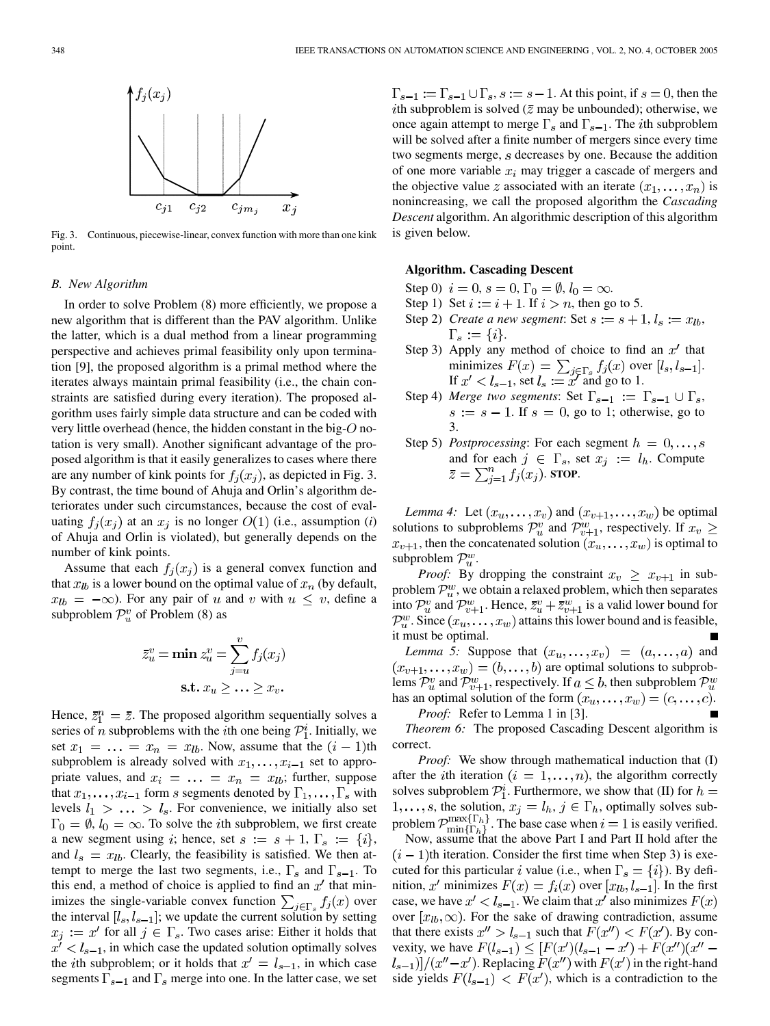

Fig. 3. Continuous, piecewise-linear, convex function with more than one kink point.

# *B. New Algorithm*

In order to solve Problem (8) more efficiently, we propose a new algorithm that is different than the PAV algorithm. Unlike the latter, which is a dual method from a linear programming perspective and achieves primal feasibility only upon termination [\[9](#page-12-0)], the proposed algorithm is a primal method where the iterates always maintain primal feasibility (i.e., the chain constraints are satisfied during every iteration). The proposed algorithm uses fairly simple data structure and can be coded with very little overhead (hence, the hidden constant in the big- $O$  notation is very small). Another significant advantage of the proposed algorithm is that it easily generalizes to cases where there are any number of kink points for  $f_i(x_i)$ , as depicted in Fig. 3. By contrast, the time bound of Ahuja and Orlin's algorithm deteriorates under such circumstances, because the cost of evaluating  $f_i(x_i)$  at an  $x_i$  is no longer  $O(1)$  (i.e., assumption (*i*) of Ahuja and Orlin is violated), but generally depends on the number of kink points.

Assume that each  $f_i(x_i)$  is a general convex function and that  $x_{lb}$  is a lower bound on the optimal value of  $x_n$  (by default,  $x_{lb} = -\infty$ ). For any pair of u and v with  $u \leq v$ , define a subproblem  $\mathcal{P}_u^v$  of Problem (8) as

$$
\bar{z}_u^v = \min z_u^v = \sum_{j=u}^v f_j(x_j)
$$
  
s.t.  $x_u \ge \dots \ge x_v$ .

Hence,  $\bar{z}_1^n = \bar{z}$ . The proposed algorithm sequentially solves a series of *n* subproblems with the *i*th one being  $\mathcal{P}_1^i$ . Initially, we set  $x_1 = \ldots = x_n = x_{lb}$ . Now, assume that the  $(i - 1)$ th subproblem is already solved with  $x_1, \ldots, x_{i-1}$  set to appropriate values, and  $x_i = \ldots = x_n = x_{lb}$ ; further, suppose that  $x_1, \ldots, x_{i-1}$  form s segments denoted by  $\Gamma_1, \ldots, \Gamma_s$  with levels  $l_1 > \ldots > l_s$ . For convenience, we initially also set  $\Gamma_0 = \emptyset$ ,  $l_0 = \infty$ . To solve the *i*th subproblem, we first create a new segment using i; hence, set  $s := s + 1$ ,  $\Gamma_s := \{i\},\$ and  $l_s = x_{lb}$ . Clearly, the feasibility is satisfied. We then attempt to merge the last two segments, i.e.,  $\Gamma_s$  and  $\Gamma_{s-1}$ . To this end, a method of choice is applied to find an  $x'$  that minimizes the single-variable convex function  $\sum_{j \in \Gamma_s} f_j(x)$  over the interval  $[l_s, l_{s-1}]$ ; we update the current solution by setting  $x_j := x'$  for all  $j \in \Gamma_s$ . Two cases arise: Either it holds that  $x' < l_{s-1}$ , in which case the updated solution optimally solves the *i*th subproblem; or it holds that  $x' = l_{s-1}$ , in which case segments  $\Gamma_{s-1}$  and  $\Gamma_s$  merge into one. In the latter case, we set  $\Gamma_{s-1} := \Gamma_{s-1} \cup \Gamma_s$ ,  $s := s-1$ . At this point, if  $s = 0$ , then the *i*th subproblem is solved ( $\overline{z}$  may be unbounded); otherwise, we once again attempt to merge  $\Gamma_s$  and  $\Gamma_{s-1}$ . The *i*th subproblem will be solved after a finite number of mergers since every time two segments merge,  $s$  decreases by one. Because the addition of one more variable  $x_i$  may trigger a cascade of mergers and the objective value z associated with an iterate  $(x_1, \ldots, x_n)$  is nonincreasing, we call the proposed algorithm the *Cascading Descent* algorithm. An algorithmic description of this algorithm is given below.

## **Algorithm. Cascading Descent**

Step 0)  $i = 0$ ,  $s = 0$ ,  $\Gamma_0 = \emptyset$ ,  $l_0 = \infty$ .

- Step 1) Set  $i := i + 1$ . If  $i > n$ , then go to 5.
- Step 2) *Create a new segment*: Set  $s := s + 1, l_s := x_{lb}$ ,  $\Gamma_s := \{i\}.$
- Step 3) Apply any method of choice to find an  $x'$  that minimizes  $F(x) = \sum_{i \in \Gamma_s} f_i(x)$  over  $[l_s, l_{s-1}].$ If  $x' < l_{s-1}$ , set  $l_s := x'$  and go to 1.
- Step 4) *Merge two segments*: Set  $\Gamma_{s-1} := \Gamma_{s-1} \cup \Gamma_s$ ,  $s := s - 1$ . If  $s = 0$ , go to 1; otherwise, go to 3.
- Step 5) *Postprocessing*: For each segment  $h = 0, \ldots, s$ and for each  $j \in \Gamma_s$ , set  $x_j := l_h$ . Compute  $\bar{z} = \sum_{i=1}^n f_j(x_j)$ . **STOP**.

*Lemma 4:* Let  $(x_u, \ldots, x_v)$  and  $(x_{v+1}, \ldots, x_w)$  be optimal solutions to subproblems  $\mathcal{P}_u^v$  and  $\mathcal{P}_{v+1}^w$ , respectively. If  $x_v \geq$  $x_{v+1}$ , then the concatenated solution  $(x_u, \ldots, x_w)$  is optimal to subproblem  $\mathcal{P}_u^w$ .

*Proof:* By dropping the constraint  $x_v \geq x_{v+1}$  in subproblem  $\mathcal{P}_u^w$ , we obtain a relaxed problem, which then separates into  $\mathcal{P}_u^v$  and  $\mathcal{P}_{v+1}^w$ . Hence,  $\bar{z}_u^v + \bar{z}_{v+1}^w$  is a valid lower bound for  $\mathcal{P}_u^w$ . Since  $(x_u, \ldots, x_w)$  attains this lower bound and is feasible, it must be optimal.

*Lemma 5:* Suppose that  $(x_u, \ldots, x_v) = (a, \ldots, a)$  and  $(x_{v+1},...,x_w) = (b,...,b)$  are optimal solutions to subproblems  $\mathcal{P}_u^v$  and  $\mathcal{P}_{v+1}^w$ , respectively. If  $a \leq b$ , then subproblem  $\mathcal{P}_u^w$ has an optimal solution of the form  $(x_u, \dots, x_w) = (c, \dots, c)$ .

*Proof:* Refer to Lemma 1 in [[3\]](#page-12-0).

*Theorem 6:* The proposed Cascading Descent algorithm is correct.

*Proof:* We show through mathematical induction that (I) after the *i*th iteration  $(i = 1, \ldots, n)$ , the algorithm correctly solves subproblem  $\mathcal{P}_1^i$ . Furthermore, we show that (II) for  $h =$  $1, \ldots, s$ , the solution,  $x_j = l_h$ ,  $j \in \Gamma_h$ , optimally solves subproblem  $\mathcal{P}_{\min\{\Gamma_h\}}^{\max\{\Gamma_h\}}$ . The base case when  $i=1$  is easily verified.

Now, assume that the above Part I and Part II hold after the  $(i-1)$ th iteration. Consider the first time when Step 3) is executed for this particular i value (i.e., when  $\Gamma_s = \{i\}$ ). By definition, x' minimizes  $F(x) = f_i(x)$  over  $[x_{lb}, l_{s-1}]$ . In the first case, we have  $x' < l_{s-1}$ . We claim that  $x'$  also minimizes  $F(x)$ over  $[x_{lb}, \infty)$ . For the sake of drawing contradiction, assume that there exists  $x'' > l_{s-1}$  such that  $F(x'') < F(x')$ . By convexity, we have  $F(l_{s-1}) \leq [F(x')(l_{s-1} - x') + F(x'')(x'' (l_{s-1})]/(x''-x')$ . Replacing  $F(x'')$  with  $F(x')$  in the right-hand side yields  $F(l_{s-1}) < F(x')$ , which is a contradiction to the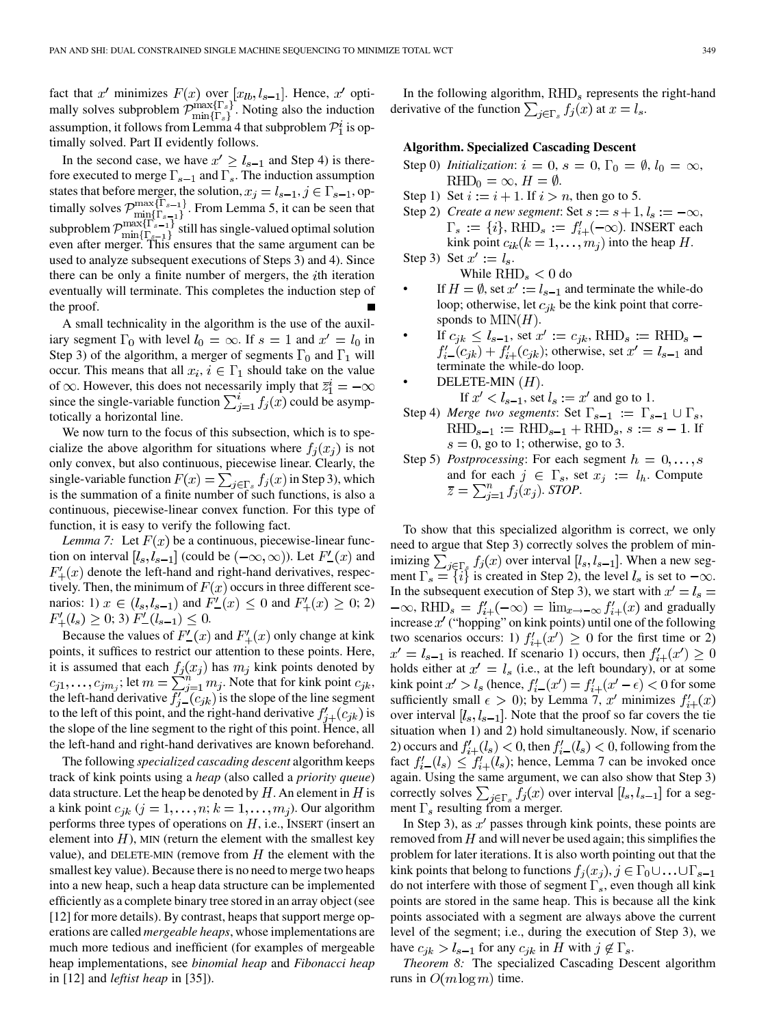fact that x' minimizes  $F(x)$  over  $[x_{lb}, l_{s-1}]$ . Hence, x' optimally solves subproblem  $\mathcal{P}_{\min\{\Gamma_s\}}^{\max\{\Gamma_s\}}$ . Noting also the induction assumption, it follows from Lemma 4 that subproblem  $\mathcal{P}_1^i$  is optimally solved. Part II evidently follows.

In the second case, we have  $x' \ge l_{s-1}$  and Step 4) is therefore executed to merge  $\Gamma_{s-1}$  and  $\Gamma_s$ . The induction assumption states that before merger, the solution,  $x_j = l_{s-1}, j \in \Gamma_{s-1}$ , optimally solves  $\mathcal{P}_{\min}^{\max\{1,s-1\}}$ . From Lemma 5, it can be seen that subproblem  $\mathcal{P}_{\min}^{\max\{1\ s-1\}}$  still has single-valued optimal solution even after merger. This ensures that the same argument can be used to analyze subsequent executions of Steps 3) and 4). Since there can be only a finite number of mergers, the  $i$ th iteration eventually will terminate. This completes the induction step of the proof.

A small technicality in the algorithm is the use of the auxiliary segment  $\Gamma_0$  with level  $l_0 = \infty$ . If  $s = 1$  and  $x' = l_0$  in Step 3) of the algorithm, a merger of segments  $\Gamma_0$  and  $\Gamma_1$  will occur. This means that all  $x_i, i \in \Gamma_1$  should take on the value of  $\infty$ . However, this does not necessarily imply that  $\overline{z}_1^i = -\infty$ since the single-variable function  $\sum_{i=1}^{i} f_j(x)$  could be asymptotically a horizontal line.

We now turn to the focus of this subsection, which is to specialize the above algorithm for situations where  $f_i(x_i)$  is not only convex, but also continuous, piecewise linear. Clearly, the single-variable function  $F(x) = \sum_{i \in \Gamma_s} f_i(x)$  in Step 3), which is the summation of a finite number of such functions, is also a continuous, piecewise-linear convex function. For this type of function, it is easy to verify the following fact.

*Lemma 7:* Let  $F(x)$  be a continuous, piecewise-linear function on interval  $[l_s, l_{s-1}]$  (could be  $(-\infty, \infty)$ ). Let  $F'_{-}(x)$  and  $F'_{+}(x)$  denote the left-hand and right-hand derivatives, respectively. Then, the minimum of  $F(x)$  occurs in three different scenarios: 1)  $x \in (l_s, l_{s-1})$  and  $F'_{-}(x) \leq 0$  and  $F'_{+}(x) \geq 0; 2)$  $F'_{+}(l_s) \geq 0;$  3)  $F'_{-}(l_{s-1}) \leq 0.$ 

Because the values of  $F'_{-}(x)$  and  $F'_{+}(x)$  only change at kink points, it suffices to restrict our attention to these points. Here, it is assumed that each  $f_i(x_i)$  has  $m_i$  kink points denoted by ; let  $m = \sum_{i=1}^{n} m_i$ . Note that for kink point  $c_{ik}$ , the left-hand derivative  $f'_{i-}(c_{jk})$  is the slope of the line segment to the left of this point, and the right-hand derivative  $f'_{i+}(c_{ik})$  is the slope of the line segment to the right of this point. Hence, all the left-hand and right-hand derivatives are known beforehand.

The following *specialized cascading descent* algorithm keeps track of kink points using a *heap* (also called a *priority queue*) data structure. Let the heap be denoted by  $H$ . An element in  $H$  is a kink point  $c_{ik}$   $(j = 1, \ldots, n; k = 1, \ldots, m_i)$ . Our algorithm performs three types of operations on  $H$ , i.e., INSERT (insert an element into  $H$ ), MIN (return the element with the smallest key value), and DELETE-MIN (remove from  $H$  the element with the smallest key value). Because there is no need to merge two heaps into a new heap, such a heap data structure can be implemented efficiently as a complete binary tree stored in an array object (see [\[12](#page-12-0)] for more details). By contrast, heaps that support merge operations are called *mergeable heaps*, whose implementations are much more tedious and inefficient (for examples of mergeable heap implementations, see *binomial heap* and *Fibonacci heap* in [[12\]](#page-12-0) and *leftist heap* in [\[35](#page-12-0)]).

In the following algorithm,  $RHD<sub>s</sub>$  represents the right-hand derivative of the function  $\sum_{i \in \Gamma_s} f_i(x)$  at  $x = l_s$ .

# **Algorithm. Specialized Cascading Descent**

- Step 0) *Initialization*:  $i = 0$ ,  $s = 0$ ,  $\Gamma_0 = \emptyset$ ,  $l_0 = \infty$ ,  $RHD_0 = \infty, H = \emptyset.$
- Step 1) Set  $i := i + 1$ . If  $i > n$ , then go to 5.
- Step 2) *Create a new segment*: Set  $s := s + 1, l_s := -\infty$ ,  $\Gamma_s := \{i\}, \text{RHD}_s := f'_{i+}(-\infty)$ . INSERT each kink point  $c_{ik}(k = 1, \ldots, m_i)$  into the heap H. Step 3) Set  $x' := l_s$ .

While  $RHD_s < 0$  do

- If  $H = \emptyset$ , set  $x' := l_{s-1}$  and terminate the while-do loop; otherwise, let  $c_{jk}$  be the kink point that corresponds to  $\text{MIN}(H)$ .
- If  $c_{jk} \leq l_{s-1}$ , set  $x' := c_{jk}$ , RHD<sub>s</sub> := RHD<sub>s</sub>  $f'_{i-}(c_{jk}) + f'_{i+}(c_{jk})$ ; otherwise, set  $x' = l_{s-1}$  and terminate the while-do loop.
- DELETE-MIN $(H)$ . If  $x' < l_{s-1}$ , set  $l_s := x'$  and go to 1.
- Step 4) *Merge two segments*: Set  $\Gamma_{s-1} := \Gamma_{s-1} \cup \Gamma_s$ ,  $RHD_{s-1} := RHD_{s-1} + RHD_s, s := s - 1$ . If  $s = 0$ , go to 1; otherwise, go to 3.
- Step 5) *Postprocessing*: For each segment  $h = 0, \ldots, s$ and for each  $j \in \Gamma_s$ , set  $x_j := l_h$ . Compute  $\bar{z} = \sum_{i=1}^n f_j(x_j)$ . STOP.

To show that this specialized algorithm is correct, we only need to argue that Step 3) correctly solves the problem of minimizing  $\sum_{i \in \Gamma_s} f_i(x)$  over interval  $[l_s, l_{s-1}]$ . When a new segment  $\Gamma_s = \{i\}$  is created in Step 2), the level  $l_s$  is set to  $-\infty$ . In the subsequent execution of Step 3), we start with  $x' = l_s$  $-\infty$ , RHD<sub>s</sub> =  $f'_{i+}(-\infty)$  =  $\lim_{x\to -\infty} f'_{i+}(x)$  and gradually increase  $x'$  ("hopping" on kink points) until one of the following two scenarios occurs: 1)  $f'_{i+}(x') \geq 0$  for the first time or 2)  $x' = l_{s-1}$  is reached. If scenario 1) occurs, then  $f'_{i+}(x') \geq 0$ holds either at  $x' = l_s$  (i.e., at the left boundary), or at some kink point  $x' > l_s$  (hence,  $f'_{i-}(x') = f'_{i+}(x'-\epsilon) < 0$  for some sufficiently small  $\epsilon > 0$ ); by Lemma 7, x' minimizes  $f'_{i+}(x)$ over interval  $[l_s, l_{s-1}]$ . Note that the proof so far covers the tie situation when 1) and 2) hold simultaneously. Now, if scenario 2) occurs and  $f'_{i+}(l_s) < 0$ , then  $f'_{i-}(l_s) < 0$ , following from the fact  $f'_{i-}(l_s) \leq f'_{i+}(l_s)$ ; hence, Lemma 7 can be invoked once again. Using the same argument, we can also show that Step 3) correctly solves  $\sum_{j \in \Gamma_s} f_j(x)$  over interval  $[l_s, l_{s-1}]$  for a segment  $\Gamma_s$  resulting from a merger.

In Step 3), as  $x'$  passes through kink points, these points are removed from  $H$  and will never be used again; this simplifies the problem for later iterations. It is also worth pointing out that the kink points that belong to functions  $f_i(x_i)$ ,  $j \in \Gamma_0 \cup \ldots \cup \Gamma_{s-1}$ do not interfere with those of segment  $\Gamma_s$ , even though all kink points are stored in the same heap. This is because all the kink points associated with a segment are always above the current level of the segment; i.e., during the execution of Step 3), we have  $c_{ik} > l_{s-1}$  for any  $c_{ik}$  in H with  $j \notin \Gamma_s$ .

*Theorem 8:* The specialized Cascading Descent algorithm runs in  $O(m \log m)$  time.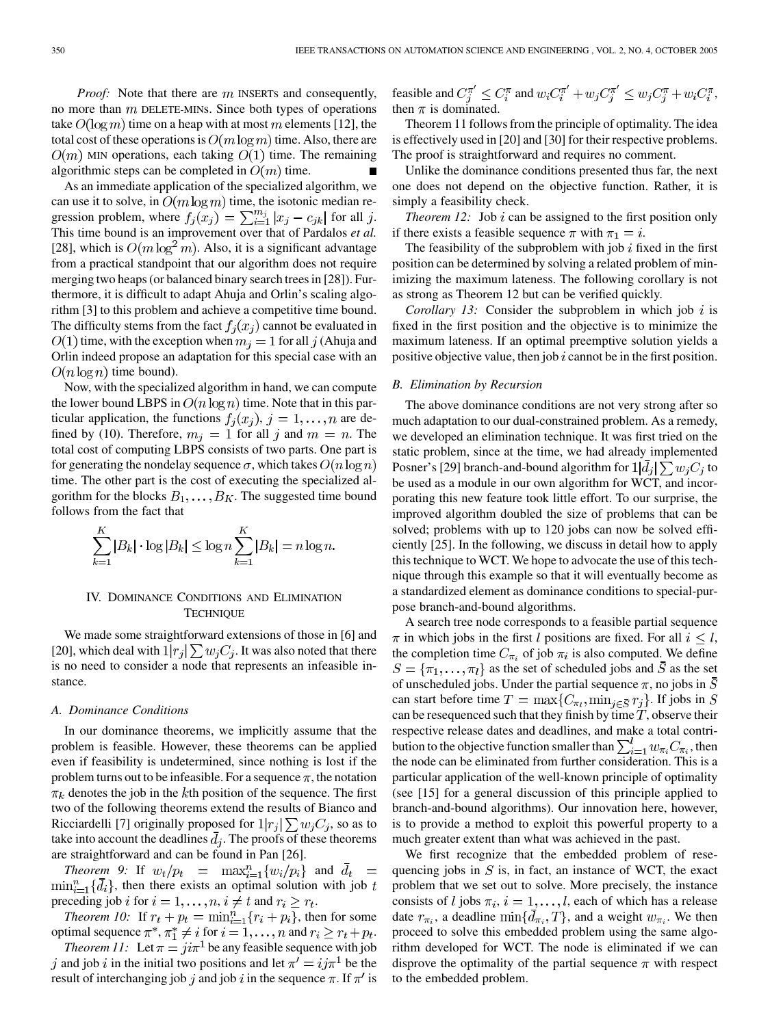*Proof:* Note that there are m INSERTs and consequently, no more than  $m$  DELETE-MINS. Since both types of operations take  $O(\log m)$  time on a heap with at most m elements [[12\]](#page-12-0), the total cost of these operations is  $O(m \log m)$  time. Also, there are  $O(m)$  MIN operations, each taking  $O(1)$  time. The remaining algorithmic steps can be completed in  $O(m)$  time.

As an immediate application of the specialized algorithm, we can use it to solve, in  $O(m \log m)$  time, the isotonic median regression problem, where  $f_j(x_j) = \sum_{i=1}^{m_j} |x_j - c_{jk}|$  for all j. This time bound is an improvement over that of Pardalos *et al.* [[28\]](#page-12-0), which is  $O(m \log^2 m)$ . Also, it is a significant advantage from a practical standpoint that our algorithm does not require merging two heaps (or balanced binary search trees in [[28\]](#page-12-0)). Furthermore, it is difficult to adapt Ahuja and Orlin's scaling algorithm [[3\]](#page-12-0) to this problem and achieve a competitive time bound. The difficulty stems from the fact  $f_i(x_i)$  cannot be evaluated in  $t(0,1)$  time, with the exception when  $m_j = 1$  for all j (Ahuja and Orlin indeed propose an adaptation for this special case with an  $O(n \log n)$  time bound).

Now, with the specialized algorithm in hand, we can compute the lower bound LBPS in  $O(n \log n)$  time. Note that in this particular application, the functions  $f_i(x_i)$ ,  $j = 1, ..., n$  are defined by (10). Therefore,  $m_j = 1$  for all j and  $m = n$ . The total cost of computing LBPS consists of two parts. One part is for generating the nondelay sequence  $\sigma$ , which takes  $O(n \log n)$ time. The other part is the cost of executing the specialized algorithm for the blocks  $B_1, \ldots, B_K$ . The suggested time bound follows from the fact that

$$
\sum_{k=1}^{K} |B_k| \cdot \log |B_k| \le \log n \sum_{k=1}^{K} |B_k| = n \log n.
$$

# IV. DOMINANCE CONDITIONS AND ELIMINATION **TECHNIQUE**

We made some straightforward extensions of those in [[6\]](#page-12-0) and [[20\]](#page-12-0), which deal with  $1|r_j| \sum w_j C_j$ . It was also noted that there is no need to consider a node that represents an infeasible instance.

#### *A. Dominance Conditions*

In our dominance theorems, we implicitly assume that the problem is feasible. However, these theorems can be applied even if feasibility is undetermined, since nothing is lost if the problem turns out to be infeasible. For a sequence  $\pi$ , the notation  $\pi_k$  denotes the job in the kth position of the sequence. The first two of the following theorems extend the results of Bianco and Ricciardelli [\[7](#page-12-0)] originally proposed for  $1|r_i| \sum w_i C_i$ , so as to take into account the deadlines  $\bar{d}_j$ . The proofs of these theorems are straightforward and can be found in Pan [[26\]](#page-12-0).

*Theorem 9:* If  $w_t/p_t = \max_{i=1}^n \{w_i/p_i\}$  and  $\overline{d}_t =$  $\min_{i=1}^{n} \{d_i\}$ , then there exists an optimal solution with job t preceding job *i* for  $i = 1, ..., n$ ,  $i \neq t$  and  $r_i \geq r_t$ .

*Theorem 10:* If  $r_t + p_t = \min_{i=1}^n \{r_i + p_i\}$ , then for some optimal sequence  $\pi^*, \pi^* \neq i$  for  $i = 1, ..., n$  and  $r_i \geq r_t + p_t$ .

*Theorem 11:* Let  $\pi = ji\pi^{1}$  be any feasible sequence with job j and job i in the initial two positions and let  $\pi' = i\pi^1$  be the result of interchanging job j and job i in the sequence  $\pi$ . If  $\pi'$  is feasible and  $C_j^{\pi'} \leq C_i^{\pi}$  and  $w_i C_i^{\pi'} + w_j C_j^{\pi'} \leq w_j C_j^{\pi} + w_i C_i^{\pi}$ , then  $\pi$  is dominated.

Theorem 11 follows from the principle of optimality. The idea is effectively used in [\[20](#page-12-0)] and [\[30](#page-12-0)] for their respective problems. The proof is straightforward and requires no comment.

Unlike the dominance conditions presented thus far, the next one does not depend on the objective function. Rather, it is simply a feasibility check.

*Theorem 12:* Job  $i$  can be assigned to the first position only if there exists a feasible sequence  $\pi$  with  $\pi_1 = i$ .

The feasibility of the subproblem with job  $i$  fixed in the first position can be determined by solving a related problem of minimizing the maximum lateness. The following corollary is not as strong as Theorem 12 but can be verified quickly.

*Corollary 13:* Consider the subproblem in which job  $i$  is fixed in the first position and the objective is to minimize the maximum lateness. If an optimal preemptive solution yields a positive objective value, then job  $i$  cannot be in the first position.

#### *B. Elimination by Recursion*

The above dominance conditions are not very strong after so much adaptation to our dual-constrained problem. As a remedy, we developed an elimination technique. It was first tried on the static problem, since at the time, we had already implemented Posner's [\[29](#page-12-0)] branch-and-bound algorithm for  $1|d_j| \sum w_j C_j$  to be used as a module in our own algorithm for WCT, and incorporating this new feature took little effort. To our surprise, the improved algorithm doubled the size of problems that can be solved; problems with up to 120 jobs can now be solved efficiently [\[25](#page-12-0)]. In the following, we discuss in detail how to apply this technique to WCT. We hope to advocate the use of this technique through this example so that it will eventually become as a standardized element as dominance conditions to special-purpose branch-and-bound algorithms.

A search tree node corresponds to a feasible partial sequence  $\pi$  in which jobs in the first l positions are fixed. For all  $i \leq l$ , the completion time  $C_{\pi_i}$  of job  $\pi_i$  is also computed. We define  $S = {\pi_1, ..., \pi_l}$  as the set of scheduled jobs and  $\bar{S}$  as the set of unscheduled jobs. Under the partial sequence  $\pi$ , no jobs in  $\overline{S}$ can start before time  $T = \max\{C_{\pi_l}, \min_{j \in \overline{S}} r_j\}$ . If jobs in S can be resequenced such that they finish by time  $T$ , observe their respective release dates and deadlines, and make a total contribution to the objective function smaller than  $\sum_{i=1}^{l} w_{\pi_i} C_{\pi_i}$ , then the node can be eliminated from further consideration. This is a particular application of the well-known principle of optimality (see [[15\]](#page-12-0) for a general discussion of this principle applied to branch-and-bound algorithms). Our innovation here, however, is to provide a method to exploit this powerful property to a much greater extent than what was achieved in the past.

We first recognize that the embedded problem of resequencing jobs in  $S$  is, in fact, an instance of WCT, the exact problem that we set out to solve. More precisely, the instance consists of *l* jobs  $\pi_i$ ,  $i = 1, \ldots, l$ , each of which has a release date  $r_{\pi_i}$ , a deadline  $\min\{\bar{d}_{\pi_i}, T\}$ , and a weight  $w_{\pi_i}$ . We then proceed to solve this embedded problem using the same algorithm developed for WCT. The node is eliminated if we can disprove the optimality of the partial sequence  $\pi$  with respect to the embedded problem.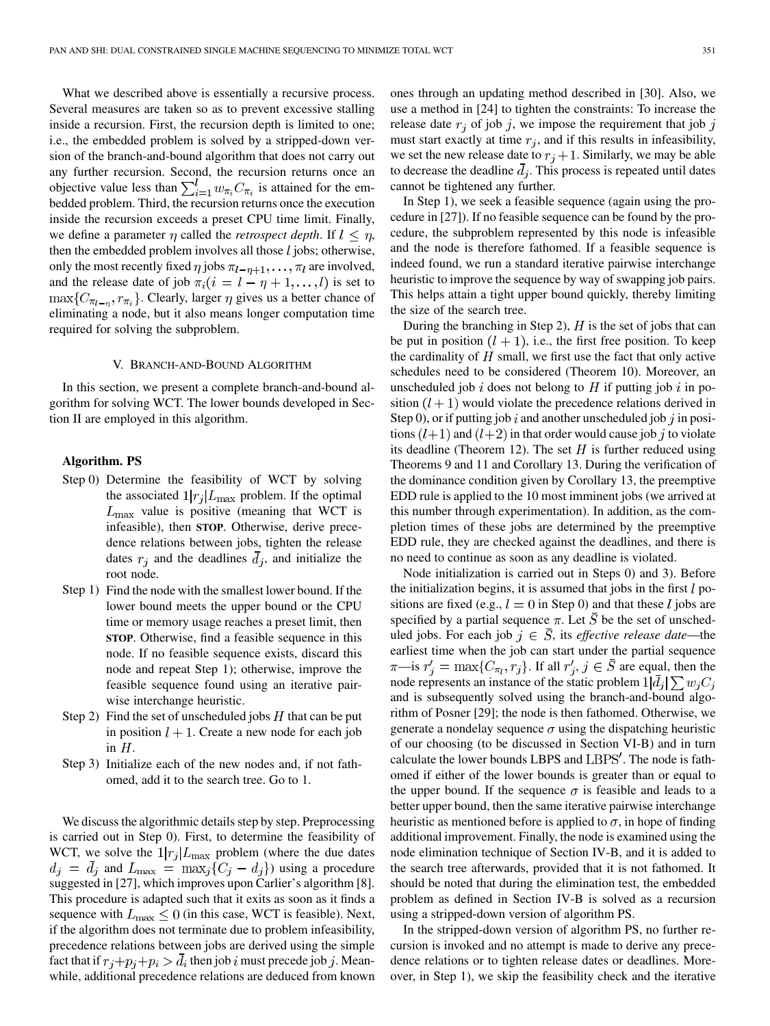What we described above is essentially a recursive process. Several measures are taken so as to prevent excessive stalling inside a recursion. First, the recursion depth is limited to one; i.e., the embedded problem is solved by a stripped-down version of the branch-and-bound algorithm that does not carry out any further recursion. Second, the recursion returns once an objective value less than  $\sum_{i=1}^{l} w_{\pi_i} C_{\pi_i}$  is attained for the embedded problem. Third, the recursion returns once the execution inside the recursion exceeds a preset CPU time limit. Finally, we define a parameter  $\eta$  called the *retrospect depth*. If  $l \leq \eta$ , then the embedded problem involves all those  $l$  jobs; otherwise, only the most recently fixed  $\eta$  jobs  $\pi_{l-\eta+1}, \ldots, \pi_l$  are involved, and the release date of job  $\pi_i(i = l - \eta + 1, \dots, l)$  is set to  $\max\{C_{\pi_{l-n}}, r_{\pi_i}\}.$  Clearly, larger  $\eta$  gives us a better chance of eliminating a node, but it also means longer computation time required for solving the subproblem.

#### V. BRANCH-AND-BOUND ALGORITHM

In this section, we present a complete branch-and-bound algorithm for solving WCT. The lower bounds developed in Section II are employed in this algorithm.

# **Algorithm. PS**

- Step 0) Determine the feasibility of WCT by solving the associated  $1/r_j | L_{\text{max}}$  problem. If the optimal  $L_{\text{max}}$  value is positive (meaning that WCT is infeasible), then **STOP**. Otherwise, derive precedence relations between jobs, tighten the release dates  $r_i$  and the deadlines  $\overline{d}_i$ , and initialize the root node.
- Step 1) Find the node with the smallest lower bound. If the lower bound meets the upper bound or the CPU time or memory usage reaches a preset limit, then **STOP**. Otherwise, find a feasible sequence in this node. If no feasible sequence exists, discard this node and repeat Step 1); otherwise, improve the feasible sequence found using an iterative pairwise interchange heuristic.
- Step 2) Find the set of unscheduled jobs  $H$  that can be put in position  $l + 1$ . Create a new node for each job in  $H$ .
- Step 3) Initialize each of the new nodes and, if not fathomed, add it to the search tree. Go to 1.

We discuss the algorithmic details step by step. Preprocessing is carried out in Step 0). First, to determine the feasibility of WCT, we solve the  $1|r_j|L_{\text{max}}$  problem (where the due dates  $d_j = \overline{d}_j$  and  $L_{\text{max}} = \max_j \{C_j - d_j\}$  using a procedure suggested in [[27\]](#page-12-0), which improves upon Carlier's algorithm [\[8](#page-12-0)]. This procedure is adapted such that it exits as soon as it finds a sequence with  $L_{\text{max}} \leq 0$  (in this case, WCT is feasible). Next, if the algorithm does not terminate due to problem infeasibility, precedence relations between jobs are derived using the simple fact that if  $r_j + p_j + p_i > d_i$  then job i must precede job j. Meanwhile, additional precedence relations are deduced from known

ones through an updating method described in [[30\]](#page-12-0). Also, we use a method in [[24\]](#page-12-0) to tighten the constraints: To increase the release date  $r_i$  of job j, we impose the requirement that job j must start exactly at time  $r_i$ , and if this results in infeasibility, we set the new release date to  $r_j + 1$ . Similarly, we may be able to decrease the deadline  $\overline{d}_i$ . This process is repeated until dates cannot be tightened any further.

In Step 1), we seek a feasible sequence (again using the procedure in [[27\]](#page-12-0)). If no feasible sequence can be found by the procedure, the subproblem represented by this node is infeasible and the node is therefore fathomed. If a feasible sequence is indeed found, we run a standard iterative pairwise interchange heuristic to improve the sequence by way of swapping job pairs. This helps attain a tight upper bound quickly, thereby limiting the size of the search tree.

During the branching in Step 2),  $H$  is the set of jobs that can be put in position  $(l + 1)$ , i.e., the first free position. To keep the cardinality of  $H$  small, we first use the fact that only active schedules need to be considered (Theorem 10). Moreover, an unscheduled job i does not belong to  $H$  if putting job i in position  $(l + 1)$  would violate the precedence relations derived in Step 0), or if putting job i and another unscheduled job j in positions  $(l+1)$  and  $(l+2)$  in that order would cause job j to violate its deadline (Theorem 12). The set  $H$  is further reduced using Theorems 9 and 11 and Corollary 13. During the verification of the dominance condition given by Corollary 13, the preemptive EDD rule is applied to the 10 most imminent jobs (we arrived at this number through experimentation). In addition, as the completion times of these jobs are determined by the preemptive EDD rule, they are checked against the deadlines, and there is no need to continue as soon as any deadline is violated.

Node initialization is carried out in Steps 0) and 3). Before the initialization begins, it is assumed that jobs in the first  $l$  positions are fixed (e.g.,  $l = 0$  in Step 0) and that these l jobs are specified by a partial sequence  $\pi$ . Let  $\overline{S}$  be the set of unscheduled jobs. For each job  $j \in \overline{S}$ , its *effective release date*—the earliest time when the job can start under the partial sequence  $\pi$ —is  $r'_i = \max\{C_{\pi_i}, r_j\}$ . If all  $r'_i, j \in \overline{S}$  are equal, then the node represents an instance of the static problem  $1|\bar{d}_j| \sum w_j C_j$ and is subsequently solved using the branch-and-bound algorithm of Posner [[29\]](#page-12-0); the node is then fathomed. Otherwise, we generate a nondelay sequence  $\sigma$  using the dispatching heuristic of our choosing (to be discussed in Section VI-B) and in turn calculate the lower bounds LBPS and LBPS'. The node is fathomed if either of the lower bounds is greater than or equal to the upper bound. If the sequence  $\sigma$  is feasible and leads to a better upper bound, then the same iterative pairwise interchange heuristic as mentioned before is applied to  $\sigma$ , in hope of finding additional improvement. Finally, the node is examined using the node elimination technique of Section IV-B, and it is added to the search tree afterwards, provided that it is not fathomed. It should be noted that during the elimination test, the embedded problem as defined in Section IV-B is solved as a recursion using a stripped-down version of algorithm PS.

In the stripped-down version of algorithm PS, no further recursion is invoked and no attempt is made to derive any precedence relations or to tighten release dates or deadlines. Moreover, in Step 1), we skip the feasibility check and the iterative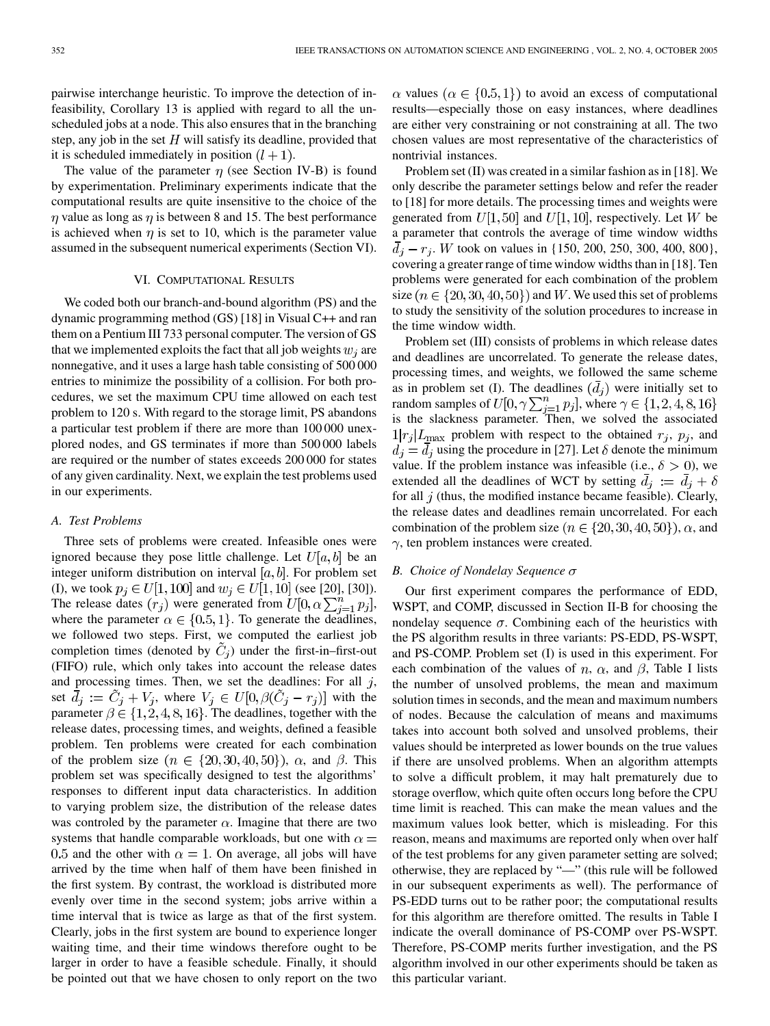pairwise interchange heuristic. To improve the detection of infeasibility, Corollary 13 is applied with regard to all the unscheduled jobs at a node. This also ensures that in the branching step, any job in the set  $H$  will satisfy its deadline, provided that it is scheduled immediately in position  $(l + 1)$ .

The value of the parameter  $\eta$  (see Section IV-B) is found by experimentation. Preliminary experiments indicate that the computational results are quite insensitive to the choice of the  $\eta$  value as long as  $\eta$  is between 8 and 15. The best performance is achieved when  $\eta$  is set to 10, which is the parameter value assumed in the subsequent numerical experiments (Section VI).

## VI. COMPUTATIONAL RESULTS

We coded both our branch-and-bound algorithm (PS) and the dynamic programming method (GS) [[18\]](#page-12-0) in Visual C++ and ran them on a Pentium III 733 personal computer. The version of GS that we implemented exploits the fact that all job weights  $w_i$  are nonnegative, and it uses a large hash table consisting of 500 000 entries to minimize the possibility of a collision. For both procedures, we set the maximum CPU time allowed on each test problem to 120 s. With regard to the storage limit, PS abandons a particular test problem if there are more than 100 000 unexplored nodes, and GS terminates if more than 500 000 labels are required or the number of states exceeds 200 000 for states of any given cardinality. Next, we explain the test problems used in our experiments.

## *A. Test Problems*

Three sets of problems were created. Infeasible ones were ignored because they pose little challenge. Let  $U[a, b]$  be an integer uniform distribution on interval  $[a, b]$ . For problem set (I), we took  $p_j \in U[1, 100]$  and  $w_j \in U[1, 10]$  (see [[20\]](#page-12-0), [[30\]](#page-12-0)). The release dates  $(r_j)$  were generated from  $U[0, \alpha \sum_{j=1}^n p_j]$ , where the parameter  $\alpha \in \{0.5, 1\}$ . To generate the deadlines, we followed two steps. First, we computed the earliest job completion times (denoted by  $\tilde{C}_i$ ) under the first-in–first-out (FIFO) rule, which only takes into account the release dates and processing times. Then, we set the deadlines: For all  $j$ , set  $\bar{d}_j := \tilde{C}_j + V_j$ , where  $V_j \in U[0, \beta(\tilde{C}_j - r_j)]$  with the parameter  $\beta \in \{1, 2, 4, 8, 16\}$ . The deadlines, together with the release dates, processing times, and weights, defined a feasible problem. Ten problems were created for each combination of the problem size  $(n \in \{20, 30, 40, 50\})$ ,  $\alpha$ , and  $\beta$ . This problem set was specifically designed to test the algorithms' responses to different input data characteristics. In addition to varying problem size, the distribution of the release dates was controled by the parameter  $\alpha$ . Imagine that there are two systems that handle comparable workloads, but one with  $\alpha =$ 0.5 and the other with  $\alpha = 1$ . On average, all jobs will have arrived by the time when half of them have been finished in the first system. By contrast, the workload is distributed more evenly over time in the second system; jobs arrive within a time interval that is twice as large as that of the first system. Clearly, jobs in the first system are bound to experience longer waiting time, and their time windows therefore ought to be larger in order to have a feasible schedule. Finally, it should be pointed out that we have chosen to only report on the two

 $\alpha$  values ( $\alpha \in \{0.5, 1\}$ ) to avoid an excess of computational results—especially those on easy instances, where deadlines are either very constraining or not constraining at all. The two chosen values are most representative of the characteristics of nontrivial instances.

Problem set (II) was created in a similar fashion as in [\[18](#page-12-0)]. We only describe the parameter settings below and refer the reader to [[18\]](#page-12-0) for more details. The processing times and weights were generated from  $U[1, 50]$  and  $U[1, 10]$ , respectively. Let W be a parameter that controls the average of time window widths  $\overline{d}_i - r_i$ . W took on values in {150, 200, 250, 300, 400, 800}, covering a greater range of time window widths than in [\[18](#page-12-0)]. Ten problems were generated for each combination of the problem size  $(n \in \{20, 30, 40, 50\})$  and W. We used this set of problems to study the sensitivity of the solution procedures to increase in the time window width.

Problem set (III) consists of problems in which release dates and deadlines are uncorrelated. To generate the release dates, processing times, and weights, we followed the same scheme as in problem set (I). The deadlines  $(d_i)$  were initially set to random samples of  $U[0, \gamma \sum_{j=1}^{n} p_j]$ , where  $\gamma \in \{1, 2, 4, 8, 16\}$ is the slackness parameter. Then, we solved the associated  $1|r_j|L_{\text{max}}$  problem with respect to the obtained  $r_j$ ,  $p_j$ , and  $d_i = \overline{d}_i$  using the procedure in [[27\]](#page-12-0). Let  $\delta$  denote the minimum value. If the problem instance was infeasible (i.e.,  $\delta > 0$ ), we extended all the deadlines of WCT by setting  $\overline{d}_i := \overline{d}_i + \delta$ for all  $j$  (thus, the modified instance became feasible). Clearly, the release dates and deadlines remain uncorrelated. For each combination of the problem size  $(n \in \{20, 30, 40, 50\})$ ,  $\alpha$ , and  $\gamma$ , ten problem instances were created.

# *B. Choice of Nondelay Sequence*

Our first experiment compares the performance of EDD, WSPT, and COMP, discussed in Section II-B for choosing the nondelay sequence  $\sigma$ . Combining each of the heuristics with the PS algorithm results in three variants: PS-EDD, PS-WSPT, and PS-COMP. Problem set (I) is used in this experiment. For each combination of the values of n,  $\alpha$ , and  $\beta$ , Table I lists the number of unsolved problems, the mean and maximum solution times in seconds, and the mean and maximum numbers of nodes. Because the calculation of means and maximums takes into account both solved and unsolved problems, their values should be interpreted as lower bounds on the true values if there are unsolved problems. When an algorithm attempts to solve a difficult problem, it may halt prematurely due to storage overflow, which quite often occurs long before the CPU time limit is reached. This can make the mean values and the maximum values look better, which is misleading. For this reason, means and maximums are reported only when over half of the test problems for any given parameter setting are solved; otherwise, they are replaced by "—" (this rule will be followed in our subsequent experiments as well). The performance of PS-EDD turns out to be rather poor; the computational results for this algorithm are therefore omitted. The results in Table I indicate the overall dominance of PS-COMP over PS-WSPT. Therefore, PS-COMP merits further investigation, and the PS algorithm involved in our other experiments should be taken as this particular variant.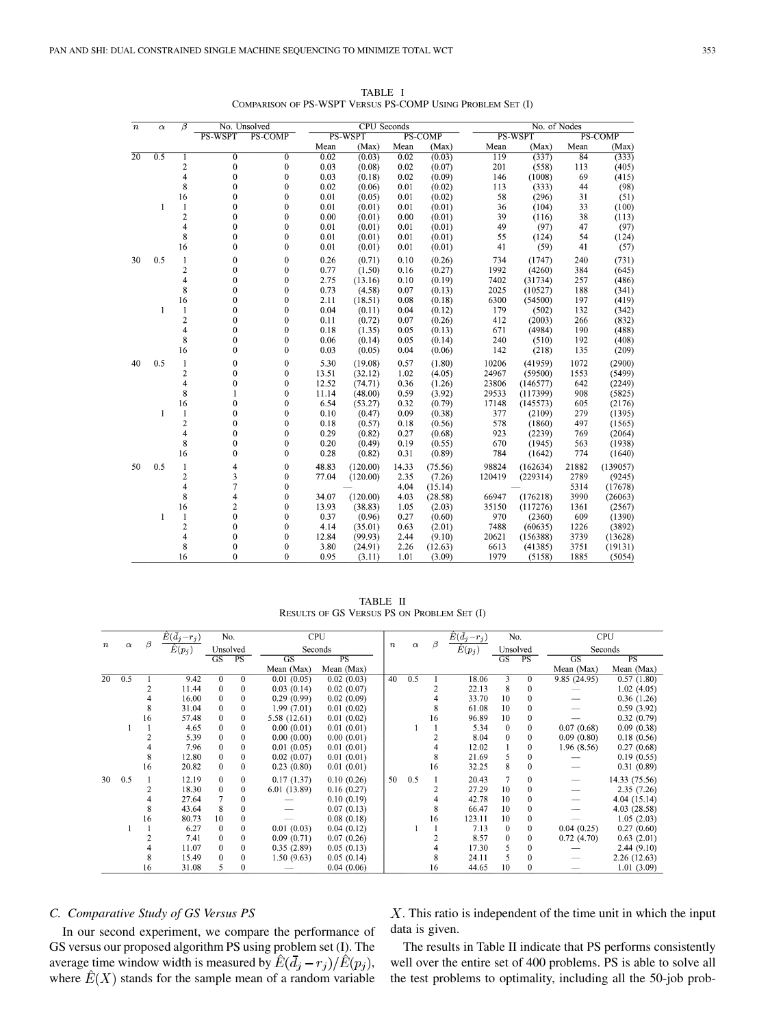| $\boldsymbol{n}$ | $\alpha$ | β              |                | No. Unsolved     |       | <b>CPU</b> Seconds |       |                |        | No. of Nodes |       |                |  |  |
|------------------|----------|----------------|----------------|------------------|-------|--------------------|-------|----------------|--------|--------------|-------|----------------|--|--|
|                  |          |                | PS-WSPT        | PS-COMP          |       | PS-WSPT            |       | <b>PS-COMP</b> |        | PS-WSPT      |       | <b>PS-COMP</b> |  |  |
|                  |          |                |                |                  | Mean  | (Max)              | Mean  | (Max)          | Mean   | (Max)        | Mean  | (Max)          |  |  |
| 20               | 0.5      | 1              | $\overline{0}$ | $\overline{0}$   | 0.02  | (0.03)             | 0.02  | (0.03)         | 119    | (337)        | 84    | (333)          |  |  |
|                  |          | 2              | 0              | 0                | 0.03  | (0.08)             | 0.02  | (0.07)         | 201    | (558)        | 113   | (405)          |  |  |
|                  |          | 4              | $\mathbf{0}$   | $\boldsymbol{0}$ | 0.03  | (0.18)             | 0.02  | (0.09)         | 146    | (1008)       | 69    | (415)          |  |  |
|                  |          | 8              | $\bf{0}$       | $\bf{0}$         | 0.02  | (0.06)             | 0.01  | (0.02)         | 113    | (333)        | 44    | (98)           |  |  |
|                  |          | 16             | $\mathbf{0}$   | $\boldsymbol{0}$ | 0.01  | (0.05)             | 0.01  | (0.02)         | 58     | (296)        | 31    | (51)           |  |  |
|                  | 1        | $\mathbf{1}$   | $\overline{0}$ | $\boldsymbol{0}$ | 0.01  | (0.01)             | 0.01  | (0.01)         | 36     | (104)        | 33    | (100)          |  |  |
|                  |          | $\overline{2}$ | $\mathbf 0$    | $\bf{0}$         | 0.00  | (0.01)             | 0.00  | (0.01)         | 39     | (116)        | 38    | (113)          |  |  |
|                  |          | 4              | $\bf{0}$       | $\mathbf{0}$     | 0.01  | (0.01)             | 0.01  | (0.01)         | 49     | (97)         | 47    | (97)           |  |  |
|                  |          | 8              | $\mathbf 0$    | $\mathbf{0}$     | 0.01  | (0.01)             | 0.01  | (0.01)         | 55     | (124)        | 54    | (124)          |  |  |
|                  |          | 16             | $\mathbf 0$    | $\mathbf{0}$     | 0.01  | (0.01)             | 0.01  | (0.01)         | 41     | (59)         | 41    | (57)           |  |  |
| 30               | 0.5      | 1              | $\bf{0}$       | $\boldsymbol{0}$ | 0.26  | (0.71)             | 0.10  | (0.26)         | 734    | (1747)       | 240   | (731)          |  |  |
|                  |          | $\overline{c}$ | $\overline{0}$ | $\mathbf{0}$     | 0.77  | (1.50)             | 0.16  | (0.27)         | 1992   | (4260)       | 384   | (645)          |  |  |
|                  |          | 4              | $\overline{0}$ | $\boldsymbol{0}$ | 2.75  | (13.16)            | 0.10  | (0.19)         | 7402   | (31734)      | 257   | (486)          |  |  |
|                  |          | 8              | $\mathbf 0$    | $\mathbf{0}$     | 0.73  | (4.58)             | 0.07  | (0.13)         | 2025   | (10527)      | 188   | (341)          |  |  |
|                  |          | 16             | 0              | $\bf{0}$         | 2.11  | (18.51)            | 0.08  | (0.18)         | 6300   | (54500)      | 197   | (419)          |  |  |
|                  | 1        | 1              | $\mathbf 0$    | $\mathbf{0}$     | 0.04  | (0.11)             | 0.04  | (0.12)         | 179    | (502)        | 132   | (342)          |  |  |
|                  |          | $\overline{c}$ | 0              | $\bf{0}$         | 0.11  | (0.72)             | 0.07  | (0.26)         | 412    | (2003)       | 266   | (832)          |  |  |
|                  |          | 4              | $\mathbf 0$    | $\boldsymbol{0}$ | 0.18  | (1.35)             | 0.05  | (0.13)         | 671    | (4984)       | 190   | (488)          |  |  |
|                  |          | 8              | $\mathbf{0}$   | $\mathbf{0}$     | 0.06  | (0.14)             | 0.05  | (0.14)         | 240    | (510)        | 192   | (408)          |  |  |
|                  |          | 16             | $\overline{0}$ | $\boldsymbol{0}$ | 0.03  | (0.05)             | 0.04  | (0.06)         | 142    | (218)        | 135   | (209)          |  |  |
| 40               | 0.5      | 1              | $\bf{0}$       | $\boldsymbol{0}$ | 5.30  | (19.08)            | 0.57  | (1.80)         | 10206  | (41959)      | 1072  | (2900)         |  |  |
|                  |          | $\overline{2}$ | $\mathbf 0$    | $\bf{0}$         | 13.51 | (32.12)            | 1.02  | (4.05)         | 24967  | (59500)      | 1553  | (5499)         |  |  |
|                  |          | 4              | $\theta$       | $\mathbf{0}$     | 12.52 | (74.71)            | 0.36  | (1.26)         | 23806  | (146577)     | 642   | (2249)         |  |  |
|                  |          | 8              | 1              | $\boldsymbol{0}$ | 11.14 | (48.00)            | 0.59  | (3.92)         | 29533  | (117399)     | 908   | (5825)         |  |  |
|                  |          | 16             | $\mathbf 0$    | $\boldsymbol{0}$ | 6.54  | (53.27)            | 0.32  | (0.79)         | 17148  | (145573)     | 605   | (2176)         |  |  |
|                  | 1        | $\mathbf{1}$   | $\overline{0}$ | 0                | 0.10  | (0.47)             | 0.09  | (0.38)         | 377    | (2109)       | 279   | (1395)         |  |  |
|                  |          | $\overline{c}$ | $\bf{0}$       | $\boldsymbol{0}$ | 0.18  | (0.57)             | 0.18  | (0.56)         | 578    | (1860)       | 497   | (1565)         |  |  |
|                  |          | 4              | $\mathbf 0$    | $\boldsymbol{0}$ | 0.29  | (0.82)             | 0.27  | (0.68)         | 923    | (2239)       | 769   | (2064)         |  |  |
|                  |          | 8              | $\overline{0}$ | $\bf{0}$         | 0.20  | (0.49)             | 0.19  | (0.55)         | 670    | (1945)       | 563   | (1938)         |  |  |
|                  |          | 16             | $\bf{0}$       | $\mathbf{0}$     | 0.28  | (0.82)             | 0.31  | (0.89)         | 784    | (1642)       | 774   | (1640)         |  |  |
| 50               | 0.5      | $\mathbf{1}$   | 4              | $\boldsymbol{0}$ | 48.83 | (120.00)           | 14.33 | (75.56)        | 98824  | (162634)     | 21882 | (139057)       |  |  |
|                  |          | $\overline{c}$ | 3              | $\boldsymbol{0}$ | 77.04 | (120.00)           | 2.35  | (7.26)         | 120419 | (229314)     | 2789  | (9245)         |  |  |
|                  |          | 4              | $\overline{7}$ | $\bf{0}$         |       |                    | 4.04  | (15.14)        |        |              | 5314  | (17678)        |  |  |
|                  |          | 8              | 4              | 0                | 34.07 | (120.00)           | 4.03  | (28.58)        | 66947  | (176218)     | 3990  | (26063)        |  |  |
|                  |          | 16             | $\overline{c}$ | $\boldsymbol{0}$ | 13.93 | (38.83)            | 1.05  | (2.03)         | 35150  | (117276)     | 1361  | (2567)         |  |  |
|                  | 1        | 1              | $\mathbf 0$    | $\boldsymbol{0}$ | 0.37  | (0.96)             | 0.27  | (0.60)         | 970    | (2360)       | 609   | (1390)         |  |  |
|                  |          | $\overline{c}$ | $\overline{0}$ | 0                | 4.14  | (35.01)            | 0.63  | (2.01)         | 7488   | (60635)      | 1226  | (3892)         |  |  |
|                  |          | 4              | 0              | $\bf{0}$         | 12.84 | (99.93)            | 2.44  | (9.10)         | 20621  | (156388)     | 3739  | (13628)        |  |  |
|                  |          | 8              | $\mathbf{0}$   | $\bf{0}$         | 3.80  | (24.91)            | 2.26  | (12.63)        | 6613   | (41385)      | 3751  | (19131)        |  |  |
|                  |          | 16             | $\overline{0}$ | $\bf{0}$         | 0.95  | (3.11)             | 1.01  | (3.09)         | 1979   | (5158)       | 1885  | (5054)         |  |  |

TABLE I COMPARISON OF PS-WSPT VERSUS PS-COMP USING PROBLEM SET (I)

TABLE II RESULTS OF GS VERSUS PS ON PROBLEM SET (I)

|         |          |    | $\hat{E}(\bar{d}_j-r_j)$ | No.                    |              | <b>CPU</b>   |            |        |          |         | $\widehat{E}(d_j-r_j)$ | No.          |          | <b>CPU</b>  |               |
|---------|----------|----|--------------------------|------------------------|--------------|--------------|------------|--------|----------|---------|------------------------|--------------|----------|-------------|---------------|
| $\it n$ | $\alpha$ |    | $\hat{E}(p_j)$           |                        | Unsolved     |              | Seconds    | $\, n$ | $\alpha$ | $\beta$ | $\hat{E}(p_j)$         | Unsolved     |          | Seconds     |               |
|         |          |    |                          | $\overline{\text{GS}}$ | PS           | GS           | PS         |        |          |         |                        | GS           | PS       | <b>GS</b>   | PS            |
|         |          |    |                          |                        |              | Mean (Max)   | Mean (Max) |        |          |         |                        |              |          | Mean (Max)  | Mean (Max)    |
| 20      | 0.5      |    | 9.42                     | $\overline{0}$         | $\mathbf{0}$ | 0.01(0.05)   | 0.02(0.03) | 40     | 0.5      |         | 18.06                  | 3            | 0        | 9.85(24.95) | 0.57(1.80)    |
|         |          |    | 11.44                    | $\mathbf{0}$           | $\mathbf{0}$ | 0.03(0.14)   | 0.02(0.07) |        |          |         | 22.13                  | 8            | 0        |             | 1.02(4.05)    |
|         |          |    | 16.00                    | $\mathbf{0}$           | $\Omega$     | 0.29(0.99)   | 0.02(0.09) |        |          |         | 33.70                  | 10           | $\Omega$ |             | 0.36(1.26)    |
|         |          | 8  | 31.04                    | $\mathbf{0}$           | $\mathbf{0}$ | 1.99(7.01)   | 0.01(0.02) |        |          | 8       | 61.08                  | 10           | $\Omega$ |             | 0.59(3.92)    |
|         |          | 16 | 57.48                    | $\mathbf{0}$           | $\mathbf{0}$ | 5.58 (12.61) | 0.01(0.02) |        |          | 16      | 96.89                  | 10           | 0        |             | 0.32(0.79)    |
|         |          |    | 4.65                     | $\mathbf{0}$           | $\mathbf{0}$ | 0.00(0.01)   | 0.01(0.01) |        |          |         | 5.34                   | $\mathbf{0}$ | $\Omega$ | 0.07(0.68)  | 0.09(0.38)    |
|         |          |    | 5.39                     | $\bf{0}$               | $\Omega$     | 0.00(0.00)   | 0.00(0.01) |        |          |         | 8.04                   | $\mathbf{0}$ | 0        | 0.09(0.80)  | 0.18(0.56)    |
|         |          |    | 7.96                     | $\overline{0}$         | $\mathbf{0}$ | 0.01(0.05)   | 0.01(0.01) |        |          |         | 12.02                  |              | 0        | 1.96(8.56)  | 0.27(0.68)    |
|         |          | 8  | 12.80                    | $\overline{0}$         | $\theta$     | 0.02(0.07)   | 0.01(0.01) |        |          | 8       | 21.69                  | 5            | 0        |             | 0.19(0.55)    |
|         |          | 16 | 20.82                    | $\mathbf{0}$           | $\Omega$     | 0.23(0.80)   | 0.01(0.01) |        |          | 16      | 32.25                  | 8            | $\Omega$ |             | 0.31(0.89)    |
| 30      | 0.5      |    | 12.19                    | $\bf{0}$               | $\Omega$     | 0.17(1.37)   | 0.10(0.26) | 50     | 0.5      |         | 20.43                  | 7            | $\Omega$ |             | 14.33 (75.56) |
|         |          |    | 18.30                    | $\theta$               | $\Omega$     | 6.01(13.89)  | 0.16(0.27) |        |          |         | 27.29                  | 10           | $\Omega$ |             | 2.35(7.26)    |
|         |          |    | 27.64                    |                        | $\Omega$     |              | 0.10(0.19) |        |          |         | 42.78                  | 10           | $\Omega$ |             | 4.04 (15.14)  |
|         |          | 8  | 43.64                    | 8                      | $\Omega$     |              | 0.07(0.13) |        |          | 8       | 66.47                  | 10           | $\Omega$ |             | 4.03 (28.58)  |
|         |          | 16 | 80.73                    | 10                     | $\Omega$     |              | 0.08(0.18) |        |          | 16      | 123.11                 | 10           | $\Omega$ |             | 1.05(2.03)    |
|         |          |    | 6.27                     | $\mathbf{0}$           | $\Omega$     | 0.01(0.03)   | 0.04(0.12) |        |          |         | 7.13                   | 0            | $\Omega$ | 0.04(0.25)  | 0.27(0.60)    |
|         |          |    | 7.41                     | $\bf{0}$               | $\Omega$     | 0.09(0.71)   | 0.07(0.26) |        |          |         | 8.57                   | $\mathbf{0}$ | $\Omega$ | 0.72(4.70)  | 0.63(2.01)    |
|         |          |    | 11.07                    | $\mathbf{0}$           | $\Omega$     | 0.35(2.89)   | 0.05(0.13) |        |          |         | 17.30                  | 5            | 0        |             | 2.44(9.10)    |
|         |          | 8  | 15.49                    | $\mathbf{0}$           | $\mathbf{0}$ | 1.50(9.63)   | 0.05(0.14) |        |          |         | 24.11                  | 5            | 0        |             | 2.26(12.63)   |
|         |          | 16 | 31.08                    | 5                      | $\mathbf{0}$ |              | 0.04(0.06) |        |          | 16      | 44.65                  | 10           | 0        |             | 1.01(3.09)    |

# *C. Comparative Study of GS Versus PS*

In our second experiment, we compare the performance of GS versus our proposed algorithm PS using problem set (I). The average time window width is measured by  $\hat{E}(\bar{d}_i - r_i)/\hat{E}(p_i)$ , where  $\hat{E}(X)$  stands for the sample mean of a random variable

 $X$ . This ratio is independent of the time unit in which the input data is given.

The results in Table II indicate that PS performs consistently well over the entire set of 400 problems. PS is able to solve all the test problems to optimality, including all the 50-job prob-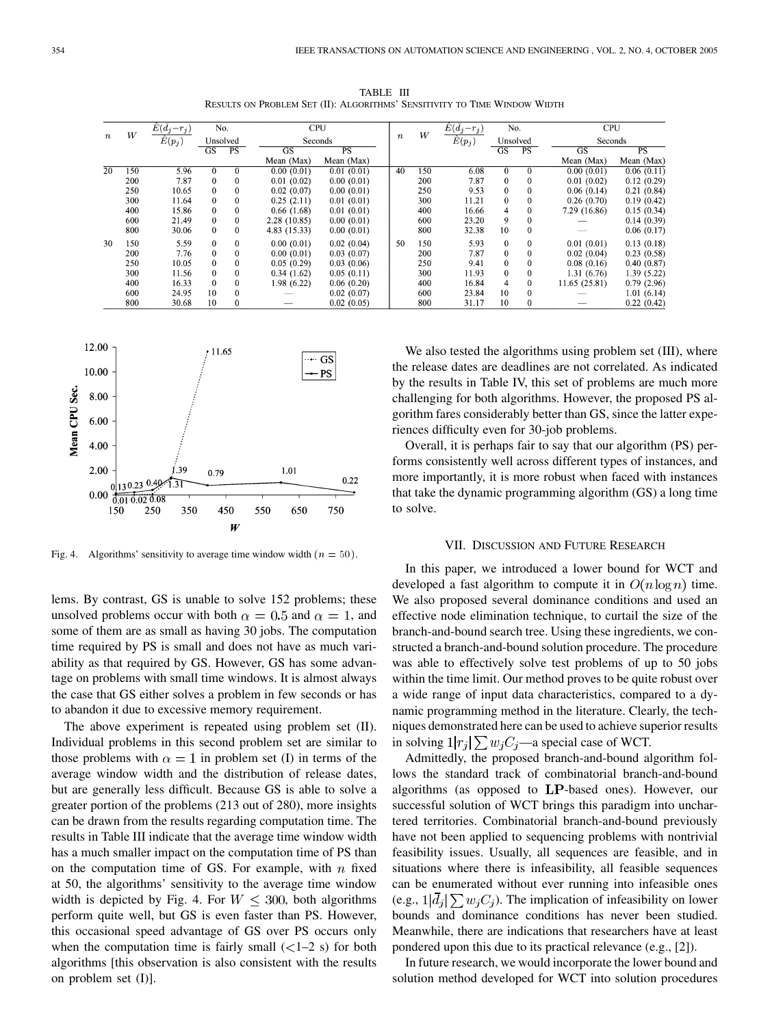| $\boldsymbol{n}$ |     | $E(\bar{d}_j-r_j)$ | No.<br>Unsolved |              |              | <b>CPU</b>  |                  | W   | $E(\bar{d}_i-r_i)$ | No.<br>Unsolved |              |               | <b>CPU</b> |  |
|------------------|-----|--------------------|-----------------|--------------|--------------|-------------|------------------|-----|--------------------|-----------------|--------------|---------------|------------|--|
|                  | W   | $\hat{E}(p_j)$     |                 |              | Seconds      |             | $\boldsymbol{n}$ |     | $\hat{E}(p_j)$     |                 |              | Seconds       |            |  |
|                  |     |                    | GS              | PS           | GS           | $_{\rm PS}$ |                  |     |                    | GS              | PS           | <b>GS</b>     | PS         |  |
|                  |     |                    |                 |              | Mean (Max)   | Mean (Max)  |                  |     |                    |                 |              | Mean (Max)    | Mean (Max) |  |
| 20               | 150 | 5.96               | $\Omega$        | $\mathbf{0}$ | 0.00(0.01)   | 0.01(0.01)  | 40               | 150 | 6.08               | $\Omega$        | $\theta$     | 0.00(0.01)    | 0.06(0.11) |  |
|                  | 200 | 7.87               | $\Omega$        | $\mathbf{0}$ | 0.01(0.02)   | 0.00(0.01)  |                  | 200 | 7.87               | $\theta$        | $\theta$     | 0.01(0.02)    | 0.12(0.29) |  |
|                  | 250 | 10.65              | $\theta$        | $\mathbf{0}$ | 0.02(0.07)   | 0.00(0.01)  |                  | 250 | 9.53               | $\Omega$        | $\theta$     | 0.06(0.14)    | 0.21(0.84) |  |
|                  | 300 | 11.64              | $\mathbf{0}$    | $\mathbf{0}$ | 0.25(2.11)   | 0.01(0.01)  |                  | 300 | 11.21              | $\mathbf{0}$    | $\mathbf{0}$ | 0.26(0.70)    | 0.19(0.42) |  |
|                  | 400 | 15.86              | $\theta$        | $\mathbf{0}$ | 0.66(1.68)   | 0.01(0.01)  |                  | 400 | 16.66              | 4               | $\theta$     | 7.29 (16.86)  | 0.15(0.34) |  |
|                  | 600 | 21.49              | $\Omega$        | $\mathbf{0}$ | 2.28(10.85)  | 0.00(0.01)  |                  | 600 | 23.20              | 9               | $\Omega$     |               | 0.14(0.39) |  |
|                  | 800 | 30.06              | $\Omega$        | $\mathbf{0}$ | 4.83 (15.33) | 0.00(0.01)  |                  | 800 | 32.38              | 10              | $\theta$     |               | 0.06(0.17) |  |
| 30               | 150 | 5.59               | $\Omega$        | $\mathbf{0}$ | 0.00(0.01)   | 0.02(0.04)  | 50               | 150 | 5.93               | $\mathbf{0}$    | $\mathbf{0}$ | 0.01(0.01)    | 0.13(0.18) |  |
|                  | 200 | 7.76               | $\theta$        | $\theta$     | 0.00(0.01)   | 0.03(0.07)  |                  | 200 | 7.87               | $\theta$        | $\theta$     | 0.02(0.04)    | 0.23(0.58) |  |
|                  | 250 | 10.05              | $\theta$        | $\mathbf 0$  | 0.05(0.29)   | 0.03(0.06)  |                  | 250 | 9.41               | $\theta$        | $\theta$     | 0.08(0.16)    | 0.40(0.87) |  |
|                  | 300 | 11.56              | $\Omega$        | $\mathbf{0}$ | 0.34(1.62)   | 0.05(0.11)  |                  | 300 | 11.93              | $\Omega$        | $\theta$     | 1.31(6.76)    | 1.39(5.22) |  |
|                  | 400 | 16.33              | $\mathbf{0}$    | $\mathbf{0}$ | 1.98(6.22)   | 0.06(0.20)  |                  | 400 | 16.84              | 4               | $\mathbf{0}$ | 11.65 (25.81) | 0.79(2.96) |  |
|                  | 600 | 24.95              | 10              | $\mathbf{0}$ |              | 0.02(0.07)  |                  | 600 | 23.84              | 10              | $\Omega$     |               | 1.01(6.14) |  |
|                  | 800 | 30.68              | 10              | $\mathbf{0}$ |              | 0.02(0.05)  |                  | 800 | 31.17              | 10              | $\Omega$     |               | 0.22(0.42) |  |

TABLE III RESULTS ON PROBLEM SET (II): ALGORITHMS' SENSITIVITY TO TIME WINDOW WIDTH



Fig. 4. Algorithms' sensitivity to average time window width  $(n = 50)$ .

lems. By contrast, GS is unable to solve 152 problems; these unsolved problems occur with both  $\alpha = 0.5$  and  $\alpha = 1$ , and some of them are as small as having 30 jobs. The computation time required by PS is small and does not have as much variability as that required by GS. However, GS has some advantage on problems with small time windows. It is almost always the case that GS either solves a problem in few seconds or has to abandon it due to excessive memory requirement.

The above experiment is repeated using problem set (II). Individual problems in this second problem set are similar to those problems with  $\alpha = 1$  in problem set (I) in terms of the average window width and the distribution of release dates, but are generally less difficult. Because GS is able to solve a greater portion of the problems (213 out of 280), more insights can be drawn from the results regarding computation time. The results in Table III indicate that the average time window width has a much smaller impact on the computation time of PS than on the computation time of GS. For example, with  $n$  fixed at 50, the algorithms' sensitivity to the average time window width is depicted by Fig. 4. For  $W \leq 300$ , both algorithms perform quite well, but GS is even faster than PS. However, this occasional speed advantage of GS over PS occurs only when the computation time is fairly small  $\left($  < 1–2 s) for both algorithms [this observation is also consistent with the results on problem set (I)].

We also tested the algorithms using problem set (III), where the release dates are deadlines are not correlated. As indicated by the results in Table IV, this set of problems are much more challenging for both algorithms. However, the proposed PS algorithm fares considerably better than GS, since the latter experiences difficulty even for 30-job problems.

Overall, it is perhaps fair to say that our algorithm (PS) performs consistently well across different types of instances, and more importantly, it is more robust when faced with instances that take the dynamic programming algorithm (GS) a long time to solve.

#### VII. DISCUSSION AND FUTURE RESEARCH

In this paper, we introduced a lower bound for WCT and developed a fast algorithm to compute it in  $O(n \log n)$  time. We also proposed several dominance conditions and used an effective node elimination technique, to curtail the size of the branch-and-bound search tree. Using these ingredients, we constructed a branch-and-bound solution procedure. The procedure was able to effectively solve test problems of up to 50 jobs within the time limit. Our method proves to be quite robust over a wide range of input data characteristics, compared to a dynamic programming method in the literature. Clearly, the techniques demonstrated here can be used to achieve superior results in solving  $1|r_j| \sum w_j C_j$ —a special case of WCT.

Admittedly, the proposed branch-and-bound algorithm follows the standard track of combinatorial branch-and-bound algorithms (as opposed to  $LP$ -based ones). However, our successful solution of WCT brings this paradigm into unchartered territories. Combinatorial branch-and-bound previously have not been applied to sequencing problems with nontrivial feasibility issues. Usually, all sequences are feasible, and in situations where there is infeasibility, all feasible sequences can be enumerated without ever running into infeasible ones (e.g.,  $1|\bar{d}_i| \sum w_i C_i$ ). The implication of infeasibility on lower bounds and dominance conditions has never been studied. Meanwhile, there are indications that researchers have at least pondered upon this due to its practical relevance (e.g., [[2\]](#page-12-0)).

In future research, we would incorporate the lower bound and solution method developed for WCT into solution procedures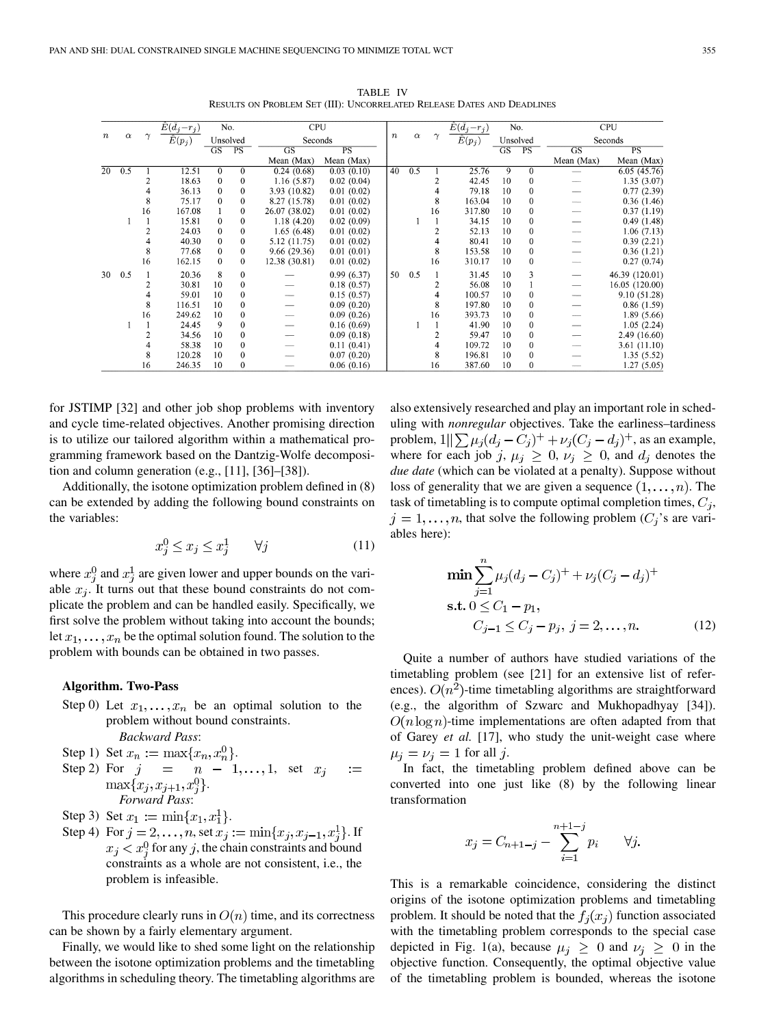$\hat{E}(\bar{d}_j-r_j)$  $\hat{E}(\bar{d}_j\!-\!r_j)$  $\overline{N_0}$  $CPI$  $\overline{No}$  $CPI$  $\boldsymbol{\eta}$  $\alpha$  $\boldsymbol{n}$  $\alpha$  $\gamma$  $\gamma$  $\hat{E}(p_j)$ Unsolved Seconds  $\hat{E}(p_j)$ Unsolved Seconds  $\overline{GS}$  $\overline{\text{GS}}$  $\overline{\text{GS}}$  $PS$  $\overline{\text{GS}}$  $\overline{PS}$ Mean (Max) Mean (Max) Mean (Max) Mean (Max)  $\overline{20}$  $\overline{0.5}$  $25.76$  $6.05(45.76)$  $\overline{12.5}$  $0.24(0.68)$  $0.03(0.10)$  $\overline{40}$  $\overline{0.5}$ 18.63  $\mathbf{0}$  $1.16(5.87)$  $0.02(0.04)$ 42.45  $10$  $1.35(3.07)$  $\boldsymbol{0}$  $\mathcal{I}$  $\boldsymbol{0}$ 36.13  $\boldsymbol{0}$ 3.93  $(10.82)$  $0.01(0.02)$  $\overline{A}$ 79.18  $10$  $\mathbf{0}$  $0.77(2.39)$  $\overline{A}$  $\theta$ 75.17  $\boldsymbol{0}$ 8.27 (15.78)  $0.01(0.02)$ 163.04  $\boldsymbol{0}$  $0.36(1.46)$ 8  $\mathbf 0$ 8 10 16 167.08  $\overline{0}$ 26.07 (38.02)  $0.01(0.02)$ 317.80  $10$  $\boldsymbol{0}$  $0.37(1.19)$  $\mathbf{1}$ 16  $\overline{1}$  $\overline{1}$ 15.81  $\Omega$  $\mathbf{0}$  $1.18(4.20)$  $0.02(0.09)$  $\mathbf{1}$ 34.15 10  $\boldsymbol{0}$  $0.49(1.48)$ 2 24.03  $\Omega$  $\overline{0}$  $1.65(6.48)$  $0.01(0.02)$  $\mathcal{P}$ 52.13 10  $\mathbf{0}$  $1.06(7.13)$  $\overline{A}$ 40.30  $\Omega$  $\theta$ 5.12 (11.75)  $0.01(0.02)$  $\overline{\mathbf{A}}$ 80.41  $10$  $\theta$  $0.39(2.21)$  $\Omega$ 8 77.68  $\theta$  $9.66(29.36)$  $0.01(0.01)$ 8 153.58 10  $\theta$  $0.36(1.21)$  $\overline{0}$  $\overline{0}$ 16 162.15  $\Omega$ 12.38 (30.81)  $0.01(0.02)$ 16 310.17 10  $0.27(0.74)$  $\mathbf{0}$  $10$ 30  $0.5$  $\overline{1}$ 20.36 8  $0.99(6.37)$ 50  $0.5$ 31.45 3 46.39 (120.01) 30.81 10  $\theta$  $0.18(0.57)$ 56.08 10 16.05 (120.00) 1  $\overline{4}$ 59.01  $\overline{0}$  $0.15(0.57)$  $\overline{4}$ 100.57  $\boldsymbol{0}$ 10  $\overline{\phantom{0}}$ 10 9.10 (51.28) 8 116.51  $10$  $\boldsymbol{0}$  $0.09(0.20)$ 8 197.80  $\mathbf{0}$  $0.86(1.59)$ 10 249.62  $\boldsymbol{0}$  $0.09(0.26)$ 393.73  $\boldsymbol{0}$  $1.89(5.66)$ 16 10 16  $10$  $\mathbf{1}$  $\overline{1}$ 24.45 9  $\boldsymbol{0}$  $0.16(0.69)$  $\mathbf{I}$ 41.90  $10$  $\boldsymbol{0}$  $1.05(2.24)$  $\blacksquare$ 34.56  $10\,$  $\boldsymbol{0}$  $0.09(0.18)$ 59.47 10  $\boldsymbol{0}$ 2.49 (16.60) 2  $\overline{2}$  $\overline{4}$ 58.38  $10$  $\mathbf{0}$  $0.11(0.41)$  $\overline{4}$ 109.72 10  $\mathbf{0}$ 3.61 (11.10) ξ 120.28  $10$  $\mathbf{0}$  $0.07(0.20)$ 196.81 10  $\mathbf{0}$  $1.35(5.52)$ 246.35  $\boldsymbol{0}$  $0.06(0.16)$ 387.60 10  $\boldsymbol{0}$  $1.27(5.05)$ 16 16

TABLE IV RESULTS ON PROBLEM SET (III): UNCORRELATED RELEASE DATES AND DEADLINES

for JSTIMP [\[32](#page-12-0)] and other job shop problems with inventory and cycle time-related objectives. Another promising direction is to utilize our tailored algorithm within a mathematical programming framework based on the Dantzig-Wolfe decomposition and column generation (e.g., [[11\]](#page-12-0), [\[36](#page-12-0)]–[[38\]](#page-12-0)).

Additionally, the isotone optimization problem defined in (8) can be extended by adding the following bound constraints on the variables:

$$
x_j^0 \le x_j \le x_j^1 \qquad \forall j \tag{11}
$$

where  $x_i^0$  and  $x_i^1$  are given lower and upper bounds on the variable  $x_i$ . It turns out that these bound constraints do not complicate the problem and can be handled easily. Specifically, we first solve the problem without taking into account the bounds; let  $x_1, \ldots, x_n$  be the optimal solution found. The solution to the problem with bounds can be obtained in two passes.

#### **Algorithm. Two-Pass**

- Step 0) Let  $x_1, \ldots, x_n$  be an optimal solution to the problem without bound constraints. *Backward Pass*:
- Step 1) Set  $x_n := \max\{x_n, x_n^0\}.$
- Step 2) For  $j = n 1, \ldots, 1$ , set  $x_j$  $:=$  $\max\{x_j, x_{j+1}, x_i^0\}.$ *Forward Pass*:
- Step 3) Set  $x_1 := \min\{x_1, x_1^1\}.$
- Step 4) For  $j = 2, ..., n$ , set  $x_j := \min\{x_j, x_{j-1}, x_j^1\}$ . If  $f(x_i < x_i^0$  for any j, the chain constraints and bound constraints as a whole are not consistent, i.e., the problem is infeasible.

This procedure clearly runs in  $O(n)$  time, and its correctness can be shown by a fairly elementary argument.

Finally, we would like to shed some light on the relationship between the isotone optimization problems and the timetabling algorithms in scheduling theory. The timetabling algorithms are also extensively researched and play an important role in scheduling with *nonregular* objectives. Take the earliness–tardiness problem,  $1||\sum \mu_j (d_j - C_j)^+ + \nu_j (C_j - d_j)^+$ , as an example, where for each job j,  $\mu_j \geq 0$ ,  $\nu_j \geq 0$ , and  $d_j$  denotes the *due date* (which can be violated at a penalty). Suppose without loss of generality that we are given a sequence  $(1, \ldots, n)$ . The task of timetabling is to compute optimal completion times,  $C_i$ ,  $j = 1, \ldots, n$ , that solve the following problem  $(C_j)$ 's are variables here):

$$
\min \sum_{j=1}^{n} \mu_j (d_j - C_j)^+ + \nu_j (C_j - d_j)^+
$$
  
s.t.  $0 \le C_1 - p_1$ ,  
 $C_{j-1} \le C_j - p_j$ ,  $j = 2, ..., n$ . (12)

Quite a number of authors have studied variations of the timetabling problem (see [\[21](#page-12-0)] for an extensive list of references).  $O(n^2)$ -time timetabling algorithms are straightforward (e.g., the algorithm of Szwarc and Mukhopadhyay [\[34](#page-12-0)]).  $O(n \log n)$ -time implementations are often adapted from that of Garey *et al.* [[17\]](#page-12-0), who study the unit-weight case where  $\mu_i = \nu_i = 1$  for all j.

In fact, the timetabling problem defined above can be converted into one just like (8) by the following linear transformation

$$
x_j = C_{n+1-j} - \sum_{i=1}^{n+1-j} p_i \qquad \forall j
$$

This is a remarkable coincidence, considering the distinct origins of the isotone optimization problems and timetabling problem. It should be noted that the  $f_i(x_i)$  function associated with the timetabling problem corresponds to the special case depicted in Fig. 1(a), because  $\mu_i \geq 0$  and  $\nu_i \geq 0$  in the objective function. Consequently, the optimal objective value of the timetabling problem is bounded, whereas the isotone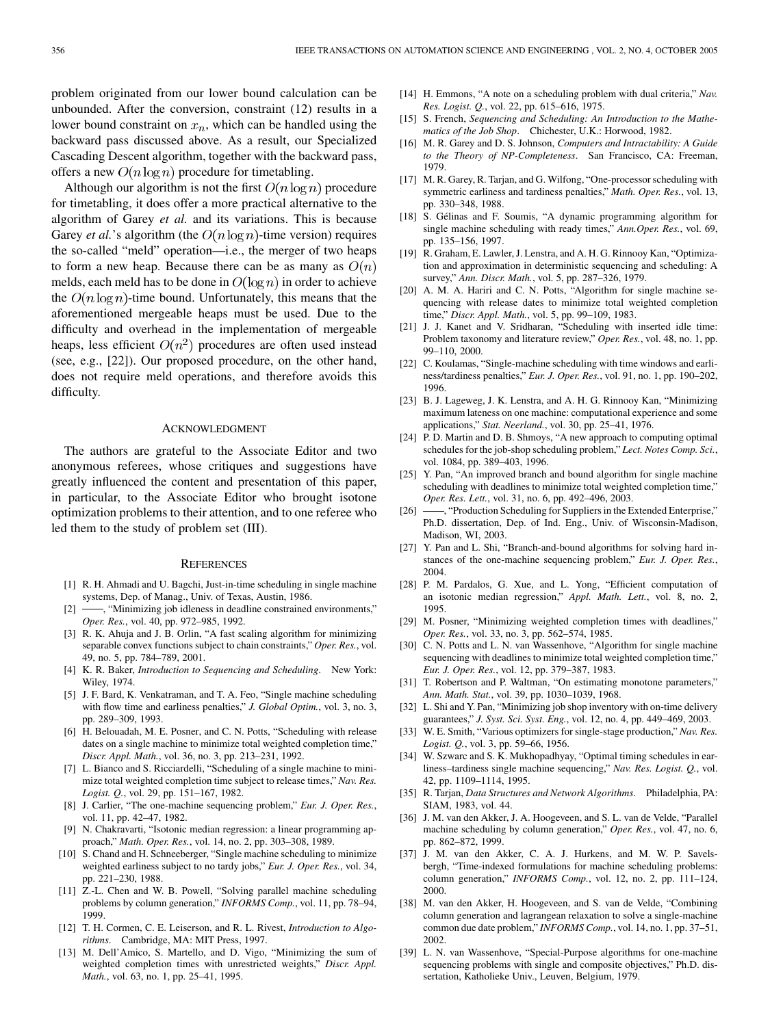<span id="page-12-0"></span>problem originated from our lower bound calculation can be unbounded. After the conversion, constraint (12) results in a lower bound constraint on  $x_n$ , which can be handled using the backward pass discussed above. As a result, our Specialized Cascading Descent algorithm, together with the backward pass, offers a new  $O(n \log n)$  procedure for timetabling.

Although our algorithm is not the first  $O(n \log n)$  procedure for timetabling, it does offer a more practical alternative to the algorithm of Garey *et al.* and its variations. This is because Garey *et al.*'s algorithm (the  $O(n \log n)$ -time version) requires the so-called "meld" operation—i.e., the merger of two heaps to form a new heap. Because there can be as many as  $O(n)$ melds, each meld has to be done in  $O(\log n)$  in order to achieve the  $O(n \log n)$ -time bound. Unfortunately, this means that the aforementioned mergeable heaps must be used. Due to the difficulty and overhead in the implementation of mergeable heaps, less efficient  $O(n^2)$  procedures are often used instead (see, e.g., [22]). Our proposed procedure, on the other hand, does not require meld operations, and therefore avoids this difficulty.

### ACKNOWLEDGMENT

The authors are grateful to the Associate Editor and two anonymous referees, whose critiques and suggestions have greatly influenced the content and presentation of this paper, in particular, to the Associate Editor who brought isotone optimization problems to their attention, and to one referee who led them to the study of problem set (III).

## **REFERENCES**

- [1] R. H. Ahmadi and U. Bagchi, Just-in-time scheduling in single machine systems, Dep. of Manag., Univ. of Texas, Austin, 1986.
- [2]  $\rightarrow$ , "Minimizing job idleness in deadline constrained environments," *Oper. Res.*, vol. 40, pp. 972–985, 1992.
- [3] R. K. Ahuja and J. B. Orlin, "A fast scaling algorithm for minimizing separable convex functions subject to chain constraints," *Oper. Res.*, vol. 49, no. 5, pp. 784–789, 2001.
- [4] K. R. Baker, *Introduction to Sequencing and Scheduling*. New York: Wiley, 1974.
- [5] J. F. Bard, K. Venkatraman, and T. A. Feo, "Single machine scheduling with flow time and earliness penalties," *J. Global Optim.*, vol. 3, no. 3, pp. 289–309, 1993.
- [6] H. Belouadah, M. E. Posner, and C. N. Potts, "Scheduling with release dates on a single machine to minimize total weighted completion time," *Discr. Appl. Math.*, vol. 36, no. 3, pp. 213–231, 1992.
- [7] L. Bianco and S. Ricciardelli, "Scheduling of a single machine to minimize total weighted completion time subject to release times," *Nav. Res. Logist. Q.*, vol. 29, pp. 151–167, 1982.
- [8] J. Carlier, "The one-machine sequencing problem," *Eur. J. Oper. Res.*, vol. 11, pp. 42–47, 1982.
- [9] N. Chakravarti, "Isotonic median regression: a linear programming approach," *Math. Oper. Res.*, vol. 14, no. 2, pp. 303–308, 1989.
- [10] S. Chand and H. Schneeberger, "Single machine scheduling to minimize weighted earliness subject to no tardy jobs," *Eur. J. Oper. Res.*, vol. 34, pp. 221–230, 1988.
- [11] Z.-L. Chen and W. B. Powell, "Solving parallel machine scheduling problems by column generation," *INFORMS Comp.*, vol. 11, pp. 78–94, 1999.
- [12] T. H. Cormen, C. E. Leiserson, and R. L. Rivest, *Introduction to Algorithms*. Cambridge, MA: MIT Press, 1997.
- [13] M. Dell'Amico, S. Martello, and D. Vigo, "Minimizing the sum of weighted completion times with unrestricted weights," *Discr. Appl. Math.*, vol. 63, no. 1, pp. 25–41, 1995.
- [14] H. Emmons, "A note on a scheduling problem with dual criteria," *Nav. Res. Logist. Q.*, vol. 22, pp. 615–616, 1975.
- [15] S. French, *Sequencing and Scheduling: An Introduction to the Mathematics of the Job Shop*. Chichester, U.K.: Horwood, 1982.
- [16] M. R. Garey and D. S. Johnson, *Computers and Intractability: A Guide to the Theory of NP-Completeness*. San Francisco, CA: Freeman, 1979.
- [17] M. R. Garey, R. Tarjan, and G. Wilfong, "One-processor scheduling with symmetric earliness and tardiness penalties," *Math. Oper. Res.*, vol. 13, pp. 330–348, 1988.
- [18] S. Gélinas and F. Soumis, "A dynamic programming algorithm for single machine scheduling with ready times," *Ann.Oper. Res.*, vol. 69, pp. 135–156, 1997.
- [19] R. Graham, E. Lawler, J. Lenstra, and A. H. G. Rinnooy Kan, "Optimization and approximation in deterministic sequencing and scheduling: A survey," *Ann. Discr. Math.*, vol. 5, pp. 287–326, 1979.
- [20] A. M. A. Hariri and C. N. Potts, "Algorithm for single machine sequencing with release dates to minimize total weighted completion time," *Discr. Appl. Math.*, vol. 5, pp. 99–109, 1983.
- [21] J. J. Kanet and V. Sridharan, "Scheduling with inserted idle time: Problem taxonomy and literature review," *Oper. Res.*, vol. 48, no. 1, pp. 99–110, 2000.
- [22] C. Koulamas, "Single-machine scheduling with time windows and earliness/tardiness penalties," *Eur. J. Oper. Res.*, vol. 91, no. 1, pp. 190–202, 1996.
- [23] B. J. Lageweg, J. K. Lenstra, and A. H. G. Rinnooy Kan, "Minimizing maximum lateness on one machine: computational experience and some applications," *Stat. Neerland.*, vol. 30, pp. 25–41, 1976.
- [24] P. D. Martin and D. B. Shmoys, "A new approach to computing optimal schedules for the job-shop scheduling problem," *Lect. Notes Comp. Sci.*, vol. 1084, pp. 389–403, 1996.
- [25] Y. Pan, "An improved branch and bound algorithm for single machine scheduling with deadlines to minimize total weighted completion time," *Oper. Res. Lett.*, vol. 31, no. 6, pp. 492–496, 2003.<br>[26] —, "Production Scheduling for Sunnliers in the E
- $\rightarrow$ , "Production Scheduling for Suppliers in the Extended Enterprise," Ph.D. dissertation, Dep. of Ind. Eng., Univ. of Wisconsin-Madison, Madison, WI, 2003.
- [27] Y. Pan and L. Shi, "Branch-and-bound algorithms for solving hard instances of the one-machine sequencing problem," *Eur. J. Oper. Res.*, 2004.
- [28] P. M. Pardalos, G. Xue, and L. Yong, "Efficient computation of an isotonic median regression," *Appl. Math. Lett.*, vol. 8, no. 2, 1995.
- [29] M. Posner, "Minimizing weighted completion times with deadlines," *Oper. Res.*, vol. 33, no. 3, pp. 562–574, 1985.
- [30] C. N. Potts and L. N. van Wassenhove, "Algorithm for single machine sequencing with deadlines to minimize total weighted completion time," *Eur. J. Oper. Res.*, vol. 12, pp. 379–387, 1983.
- [31] T. Robertson and P. Waltman, "On estimating monotone parameters," *Ann. Math. Stat.*, vol. 39, pp. 1030–1039, 1968.
- [32] L. Shi and Y. Pan, "Minimizing job shop inventory with on-time delivery guarantees," *J. Syst. Sci. Syst. Eng.*, vol. 12, no. 4, pp. 449–469, 2003.
- [33] W. E. Smith, "Various optimizers for single-stage production," *Nav. Res. Logist. Q.*, vol. 3, pp. 59–66, 1956.
- [34] W. Szwarc and S. K. Mukhopadhyay, "Optimal timing schedules in earliness–tardiness single machine sequencing," *Nav. Res. Logist. Q.*, vol. 42, pp. 1109–1114, 1995.
- [35] R. Tarjan, *Data Structures and Network Algorithms*. Philadelphia, PA: SIAM, 1983, vol. 44.
- [36] J. M. van den Akker, J. A. Hoogeveen, and S. L. van de Velde, "Parallel machine scheduling by column generation," *Oper. Res.*, vol. 47, no. 6, pp. 862–872, 1999.
- [37] J. M. van den Akker, C. A. J. Hurkens, and M. W. P. Savelsbergh, "Time-indexed formulations for machine scheduling problems: column generation," *INFORMS Comp.*, vol. 12, no. 2, pp. 111–124, 2000.
- [38] M. van den Akker, H. Hoogeveen, and S. van de Velde, "Combining column generation and lagrangean relaxation to solve a single-machine common due date problem," *INFORMS Comp.*, vol. 14, no. 1, pp. 37–51, 2002.
- [39] L. N. van Wassenhove, "Special-Purpose algorithms for one-machine sequencing problems with single and composite objectives," Ph.D. dissertation, Katholieke Univ., Leuven, Belgium, 1979.